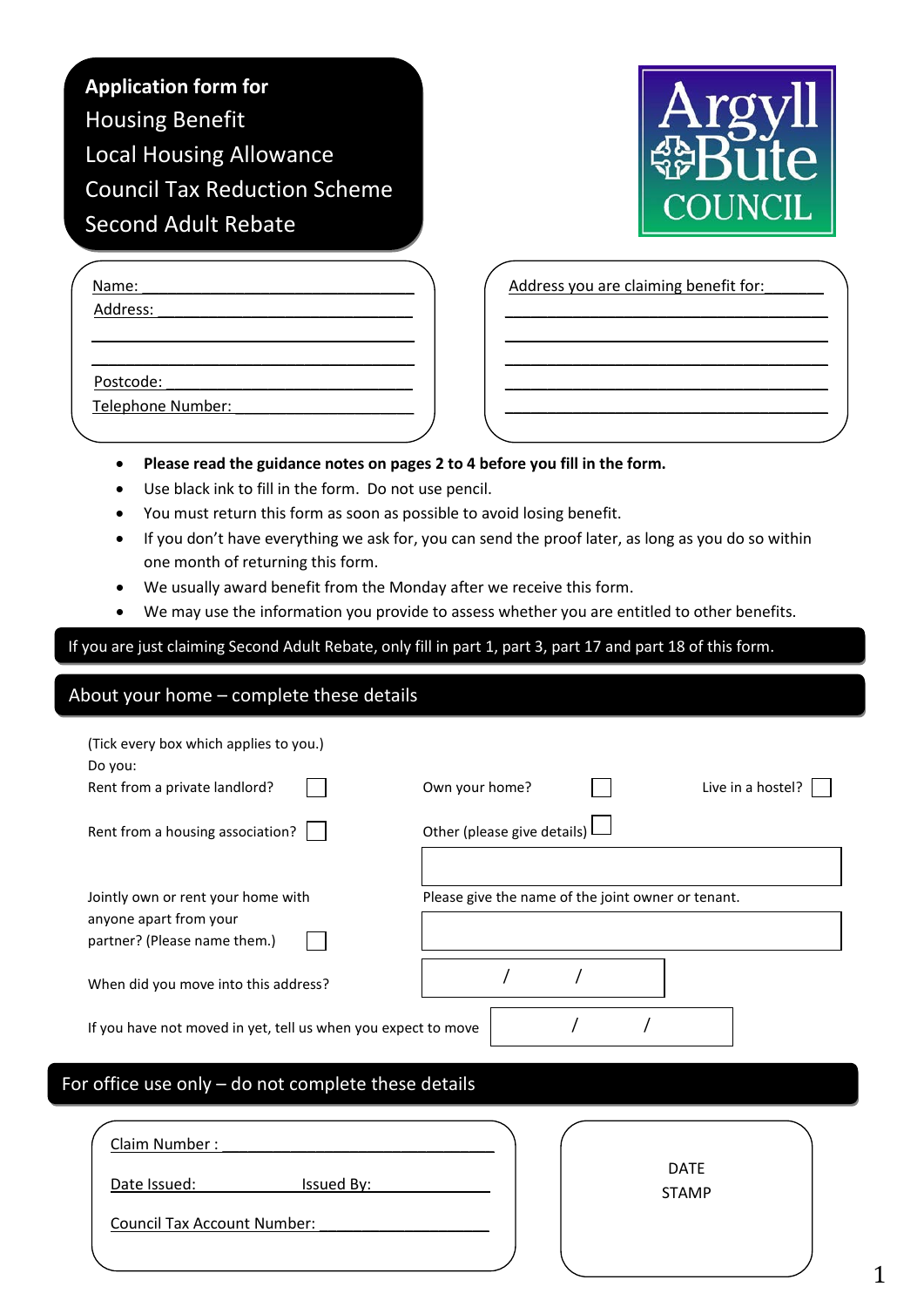| <b>Application form for</b>         |
|-------------------------------------|
| <b>Housing Benefit</b>              |
| <b>Local Housing Allowance</b>      |
| <b>Council Tax Reduction Scheme</b> |
| <b>Second Adult Rebate</b>          |



| Name:             |  |
|-------------------|--|
| Address:          |  |
|                   |  |
|                   |  |
| Postcode:         |  |
| Telephone Number: |  |

Address you are claiming benefit for:

\_\_\_\_\_\_\_\_\_\_\_\_\_\_\_\_\_\_\_\_\_\_\_\_\_\_\_\_\_\_\_\_\_\_\_\_\_\_ \_\_\_\_\_\_\_\_\_\_\_\_\_\_\_\_\_\_\_\_\_\_\_\_\_\_\_\_\_\_\_\_\_\_\_\_\_\_ \_\_\_\_\_\_\_\_\_\_\_\_\_\_\_\_\_\_\_\_\_\_\_\_\_\_\_\_\_\_\_\_\_\_\_\_\_\_ \_\_\_\_\_\_\_\_\_\_\_\_\_\_\_\_\_\_\_\_\_\_\_\_\_\_\_\_\_\_\_\_\_\_\_\_\_\_ \_\_\_\_\_\_\_\_\_\_\_\_\_\_\_\_\_\_\_\_\_\_\_\_\_\_\_\_\_\_\_\_\_\_\_\_\_\_

- **Please read the guidance notes on pages 2 to 4 before you fill in the form.**
- Use black ink to fill in the form. Do not use pencil.
- You must return this form as soon as possible to avoid losing benefit.
- If you don't have everything we ask for, you can send the proof later, as long as you do so within one month of returning this form.
- We usually award benefit from the Monday after we receive this form.
- We may use the information you provide to assess whether you are entitled to other benefits.

If you are just claiming Second Adult Rebate, only fill in part 1, part 3, part 17 and part 18 of this form.

## About your home – complete these details

| (Tick every box which applies to you.)<br>Do you:<br>Rent from a private landlord?           | Own your home?                                     | Live in a hostel? |
|----------------------------------------------------------------------------------------------|----------------------------------------------------|-------------------|
| Rent from a housing association?                                                             | Other (please give details)                        |                   |
| Jointly own or rent your home with<br>anyone apart from your<br>partner? (Please name them.) | Please give the name of the joint owner or tenant. |                   |
| When did you move into this address?                                                         |                                                    |                   |
| If you have not moved in yet, tell us when you expect to move                                |                                                    |                   |
| For office use only - do not complete these details                                          |                                                    |                   |
|                                                                                              |                                                    |                   |

| Claim Number:                      |                             |
|------------------------------------|-----------------------------|
| Issued By:<br>Date Issued:         | <b>DATE</b><br><b>STAMP</b> |
| <b>Council Tax Account Number:</b> |                             |
|                                    |                             |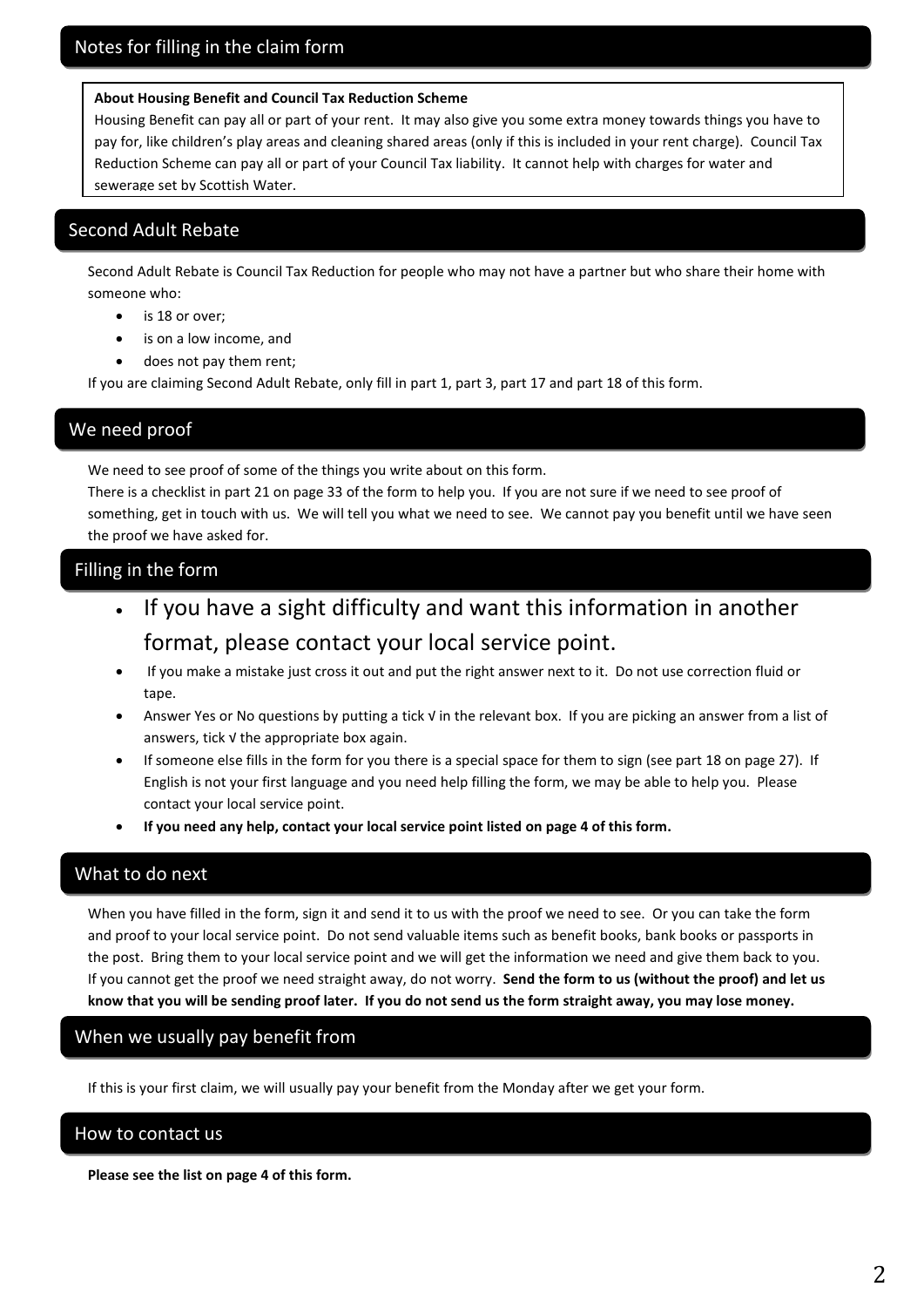#### **About Housing Benefit and Council Tax Reduction Scheme**

Housing Benefit can pay all or part of your rent. It may also give you some extra money towards things you have to pay for, like children's play areas and cleaning shared areas (only if this is included in your rent charge). Council Tax Reduction Scheme can pay all or part of your Council Tax liability. It cannot help with charges for water and sewerage set by Scottish Water.

## Second Adult Rebate

Second Adult Rebate is Council Tax Reduction for people who may not have a partner but who share their home with someone who:

- is 18 or over;
- is on a low income, and
- does not pay them rent;

If you are claiming Second Adult Rebate, only fill in part 1, part 3, part 17 and part 18 of this form.

## We need proof

We need to see proof of some of the things you write about on this form.

There is a checklist in part 21 on page 33 of the form to help you. If you are not sure if we need to see proof of something, get in touch with us. We will tell you what we need to see. We cannot pay you benefit until we have seen the proof we have asked for.

## Filling in the form

- If you have a sight difficulty and want this information in another format, please contact your local service point.
- If you make a mistake just cross it out and put the right answer next to it. Do not use correction fluid or tape.
- Answer Yes or No questions by putting a tick √ in the relevant box. If you are picking an answer from a list of answers, tick √ the appropriate box again.
- If someone else fills in the form for you there is a special space for them to sign (see part 18 on page 27). If English is not your first language and you need help filling the form, we may be able to help you. Please contact your local service point.
- **If you need any help, contact your local service point listed on page 4 of this form.**

## What to do next

When you have filled in the form, sign it and send it to us with the proof we need to see. Or you can take the form and proof to your local service point. Do not send valuable items such as benefit books, bank books or passports in the post. Bring them to your local service point and we will get the information we need and give them back to you. If you cannot get the proof we need straight away, do not worry. **Send the form to us (without the proof) and let us know that you will be sending proof later. If you do not send us the form straight away, you may lose money.**

## When we usually pay benefit from

If this is your first claim, we will usually pay your benefit from the Monday after we get your form.

## How to contact us

**Please see the list on page 4 of this form.**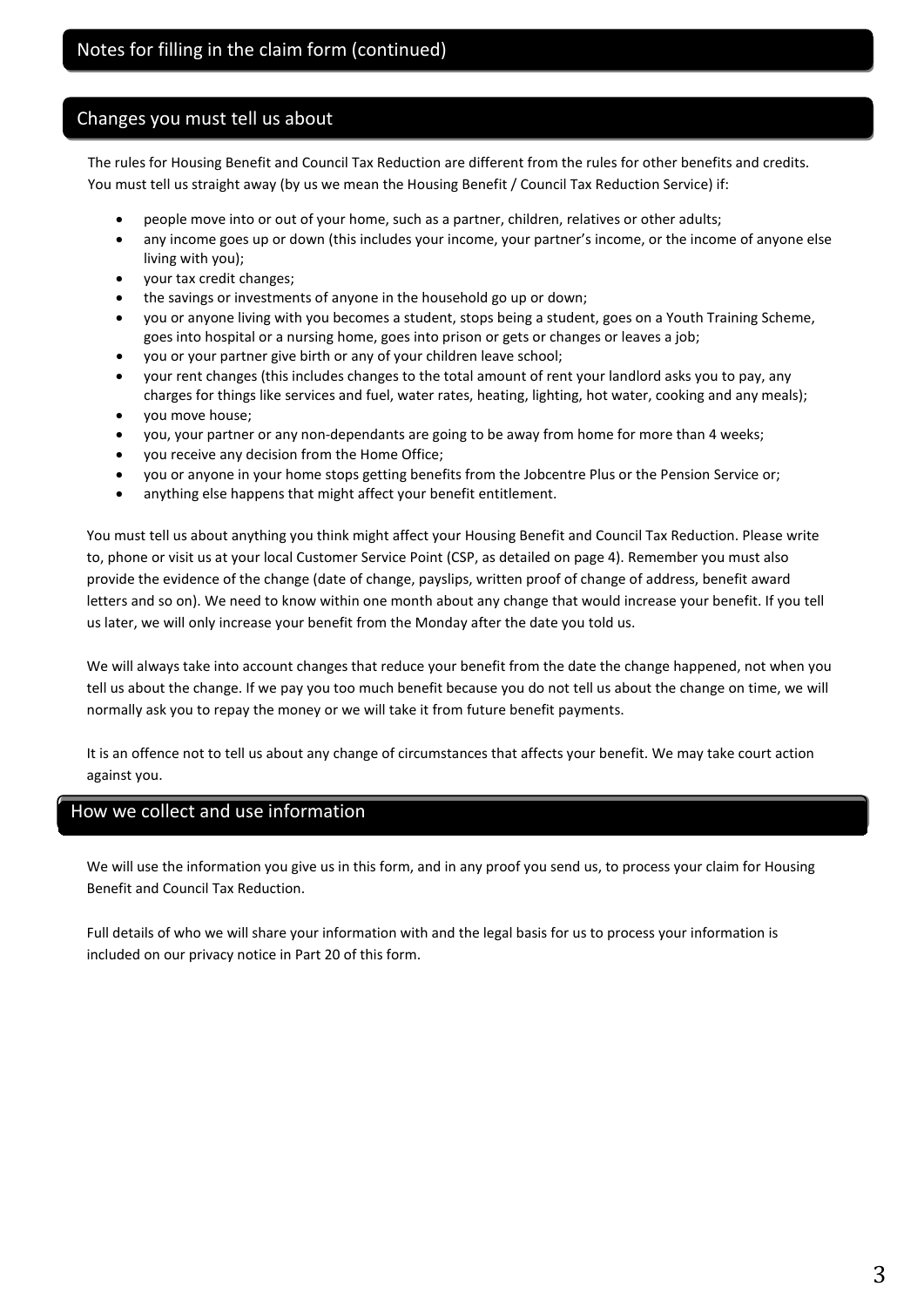## Changes you must tell us about

The rules for Housing Benefit and Council Tax Reduction are different from the rules for other benefits and credits. You must tell us straight away (by us we mean the Housing Benefit / Council Tax Reduction Service) if:

- people move into or out of your home, such as a partner, children, relatives or other adults;
- any income goes up or down (this includes your income, your partner's income, or the income of anyone else living with you);
- your tax credit changes;
- the savings or investments of anyone in the household go up or down;
- you or anyone living with you becomes a student, stops being a student, goes on a Youth Training Scheme, goes into hospital or a nursing home, goes into prison or gets or changes or leaves a job;
- you or your partner give birth or any of your children leave school;
- your rent changes (this includes changes to the total amount of rent your landlord asks you to pay, any charges for things like services and fuel, water rates, heating, lighting, hot water, cooking and any meals);
- you move house;
- you, your partner or any non-dependants are going to be away from home for more than 4 weeks;
- you receive any decision from the Home Office;
- you or anyone in your home stops getting benefits from the Jobcentre Plus or the Pension Service or;
- anything else happens that might affect your benefit entitlement.

You must tell us about anything you think might affect your Housing Benefit and Council Tax Reduction. Please write to, phone or visit us at your local Customer Service Point (CSP, as detailed on page 4). Remember you must also provide the evidence of the change (date of change, payslips, written proof of change of address, benefit award letters and so on). We need to know within one month about any change that would increase your benefit. If you tell us later, we will only increase your benefit from the Monday after the date you told us.

We will always take into account changes that reduce your benefit from the date the change happened, not when you tell us about the change. If we pay you too much benefit because you do not tell us about the change on time, we will normally ask you to repay the money or we will take it from future benefit payments.

It is an offence not to tell us about any change of circumstances that affects your benefit. We may take court action against you.

## How we collect and use information

We will use the information you give us in this form, and in any proof you send us, to process your claim for Housing Benefit and Council Tax Reduction.

Full details of who we will share your information with and the legal basis for us to process your information is included on our privacy notice in Part 20 of this form.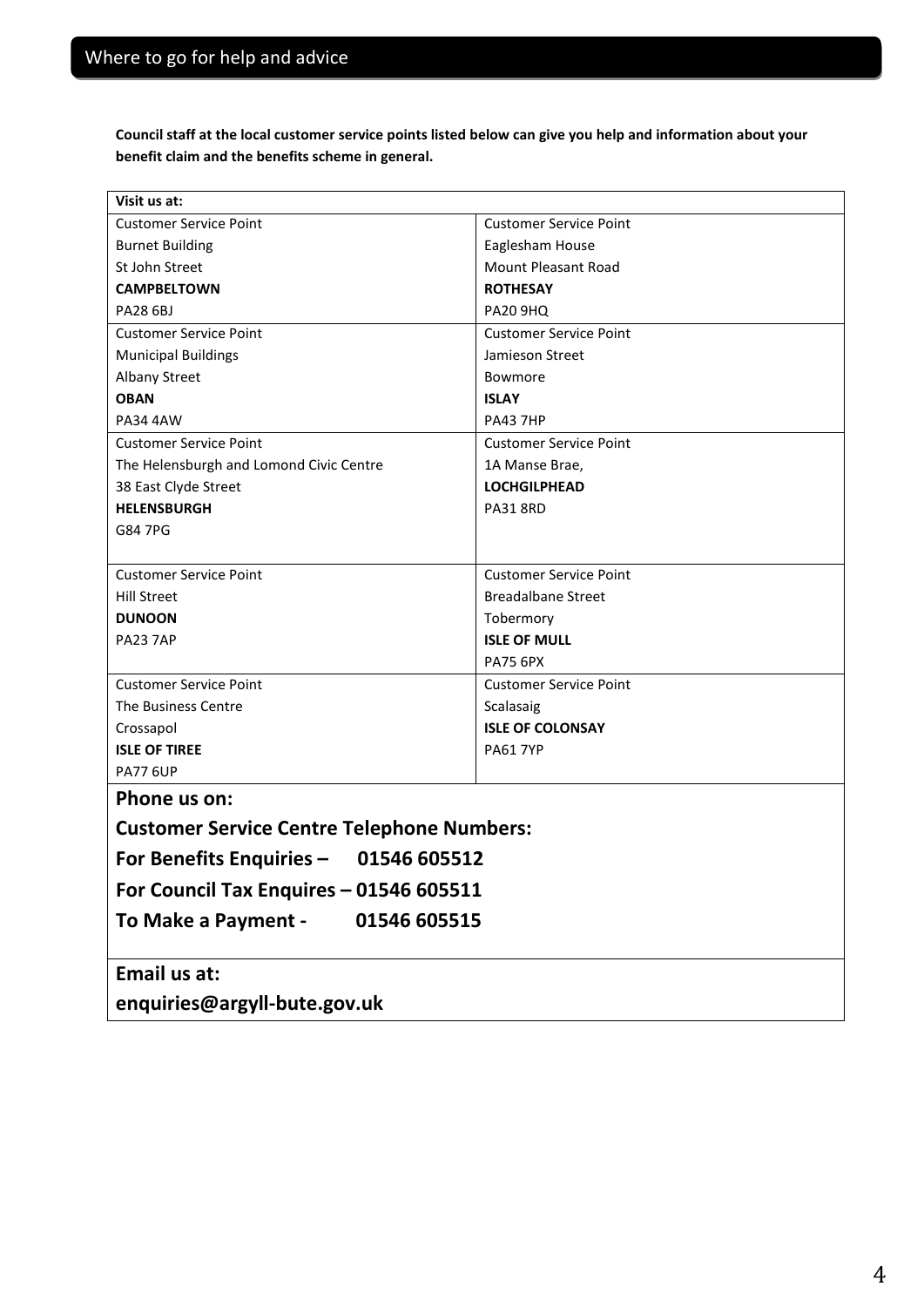**Council staff at the local customer service points listed below can give you help and information about your benefit claim and the benefits scheme in general.**

| Visit us at:                                      |                               |  |  |  |
|---------------------------------------------------|-------------------------------|--|--|--|
| <b>Customer Service Point</b>                     | <b>Customer Service Point</b> |  |  |  |
| <b>Burnet Building</b>                            | Eaglesham House               |  |  |  |
| St John Street                                    | <b>Mount Pleasant Road</b>    |  |  |  |
| <b>CAMPBELTOWN</b>                                | <b>ROTHESAY</b>               |  |  |  |
| <b>PA28 6BJ</b>                                   | <b>PA20 9HQ</b>               |  |  |  |
| <b>Customer Service Point</b>                     | <b>Customer Service Point</b> |  |  |  |
| <b>Municipal Buildings</b>                        | Jamieson Street               |  |  |  |
| <b>Albany Street</b>                              | Bowmore                       |  |  |  |
| <b>OBAN</b>                                       | <b>ISLAY</b>                  |  |  |  |
| <b>PA34 4AW</b>                                   | <b>PA43 7HP</b>               |  |  |  |
| <b>Customer Service Point</b>                     | <b>Customer Service Point</b> |  |  |  |
| The Helensburgh and Lomond Civic Centre           | 1A Manse Brae,                |  |  |  |
| 38 East Clyde Street                              | <b>LOCHGILPHEAD</b>           |  |  |  |
| <b>HELENSBURGH</b>                                | <b>PA31 8RD</b>               |  |  |  |
| G84 7PG                                           |                               |  |  |  |
|                                                   |                               |  |  |  |
| <b>Customer Service Point</b>                     | <b>Customer Service Point</b> |  |  |  |
| <b>Hill Street</b>                                | <b>Breadalbane Street</b>     |  |  |  |
| <b>DUNOON</b>                                     | Tobermory                     |  |  |  |
| PA23 7AP                                          | <b>ISLE OF MULL</b>           |  |  |  |
|                                                   | <b>PA75 6PX</b>               |  |  |  |
| <b>Customer Service Point</b>                     | <b>Customer Service Point</b> |  |  |  |
| The Business Centre                               | Scalasaig                     |  |  |  |
| Crossapol                                         | <b>ISLE OF COLONSAY</b>       |  |  |  |
| <b>ISLE OF TIREE</b>                              | <b>PA61 7YP</b>               |  |  |  |
| <b>PA77 6UP</b>                                   |                               |  |  |  |
| Phone us on:                                      |                               |  |  |  |
| <b>Customer Service Centre Telephone Numbers:</b> |                               |  |  |  |
| For Benefits Enquiries - 01546 605512             |                               |  |  |  |
| For Council Tax Enquires - 01546 605511           |                               |  |  |  |
| To Make a Payment -<br>01546 605515               |                               |  |  |  |
|                                                   |                               |  |  |  |
| Email us at:                                      |                               |  |  |  |
| enquiries@argyll-bute.gov.uk                      |                               |  |  |  |
|                                                   |                               |  |  |  |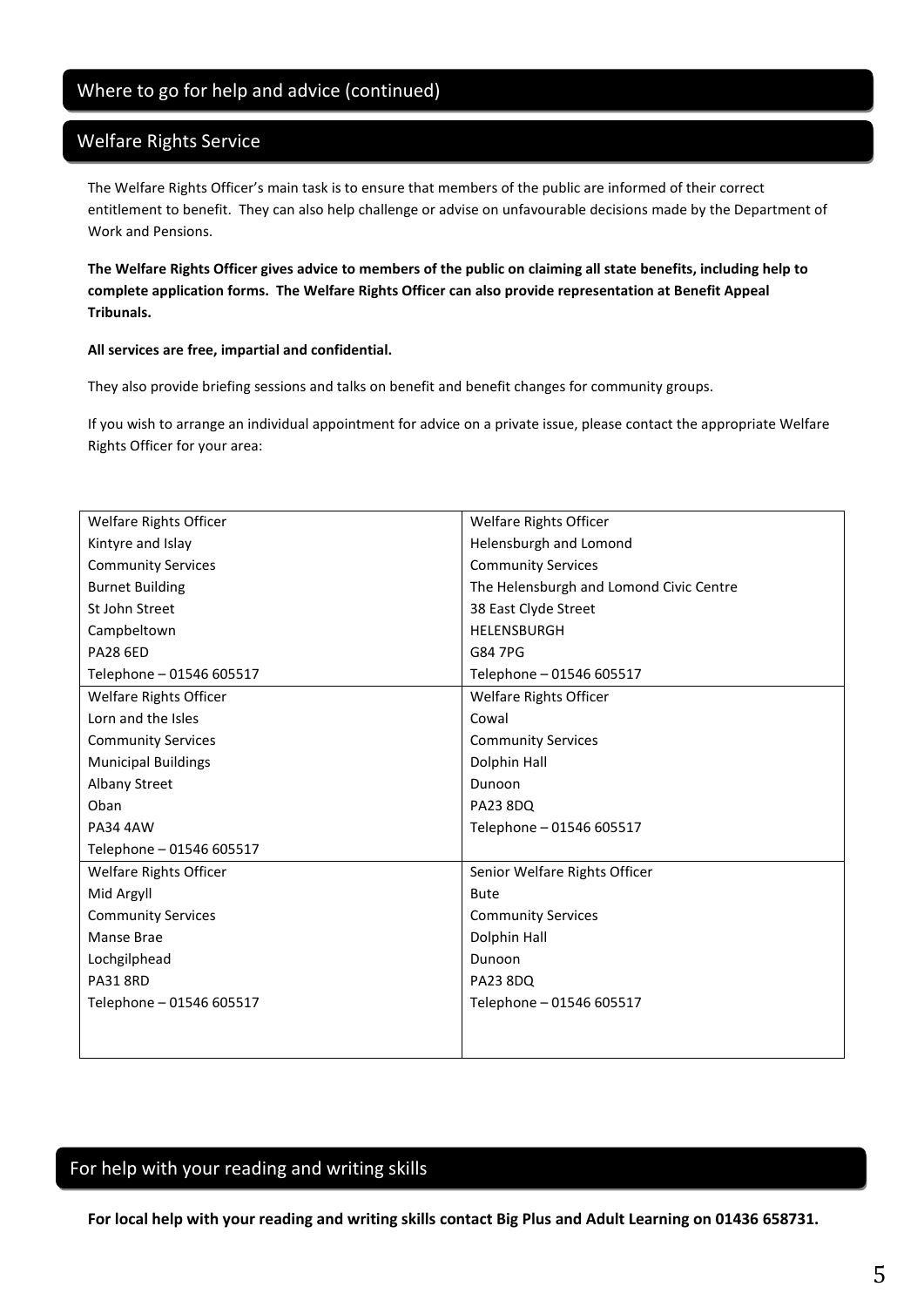## Where to go for help and advice (continued)

## Welfare Rights Service

The Welfare Rights Officer's main task is to ensure that members of the public are informed of their correct entitlement to benefit. They can also help challenge or advise on unfavourable decisions made by the Department of Work and Pensions.

**The Welfare Rights Officer gives advice to members of the public on claiming all state benefits, including help to complete application forms. The Welfare Rights Officer can also provide representation at Benefit Appeal Tribunals.**

#### **All services are free, impartial and confidential.**

They also provide briefing sessions and talks on benefit and benefit changes for community groups.

If you wish to arrange an individual appointment for advice on a private issue, please contact the appropriate Welfare Rights Officer for your area:

| Welfare Rights Officer     | Welfare Rights Officer                  |
|----------------------------|-----------------------------------------|
| Kintyre and Islay          | Helensburgh and Lomond                  |
| <b>Community Services</b>  | <b>Community Services</b>               |
| <b>Burnet Building</b>     | The Helensburgh and Lomond Civic Centre |
| St John Street             | 38 East Clyde Street                    |
| Campbeltown                | HELENSBURGH                             |
| <b>PA28 6ED</b>            | G84 7PG                                 |
| Telephone - 01546 605517   | Telephone - 01546 605517                |
| Welfare Rights Officer     | Welfare Rights Officer                  |
| Lorn and the Isles         | Cowal                                   |
| <b>Community Services</b>  | <b>Community Services</b>               |
| <b>Municipal Buildings</b> | Dolphin Hall                            |
| Albany Street              | Dunoon                                  |
| Oban                       | <b>PA23 8DQ</b>                         |
| <b>PA34 4AW</b>            | Telephone - 01546 605517                |
| Telephone - 01546 605517   |                                         |
| Welfare Rights Officer     | Senior Welfare Rights Officer           |
| Mid Argyll                 | <b>Bute</b>                             |
| <b>Community Services</b>  | <b>Community Services</b>               |
| Manse Brae                 | Dolphin Hall                            |
| Lochgilphead               | Dunoon                                  |
| <b>PA31 8RD</b>            | <b>PA23 8DQ</b>                         |
| Telephone - 01546 605517   | Telephone - 01546 605517                |
|                            |                                         |
|                            |                                         |

## For help with your reading and writing skills

**For local help with your reading and writing skills contact Big Plus and Adult Learning on 01436 658731.**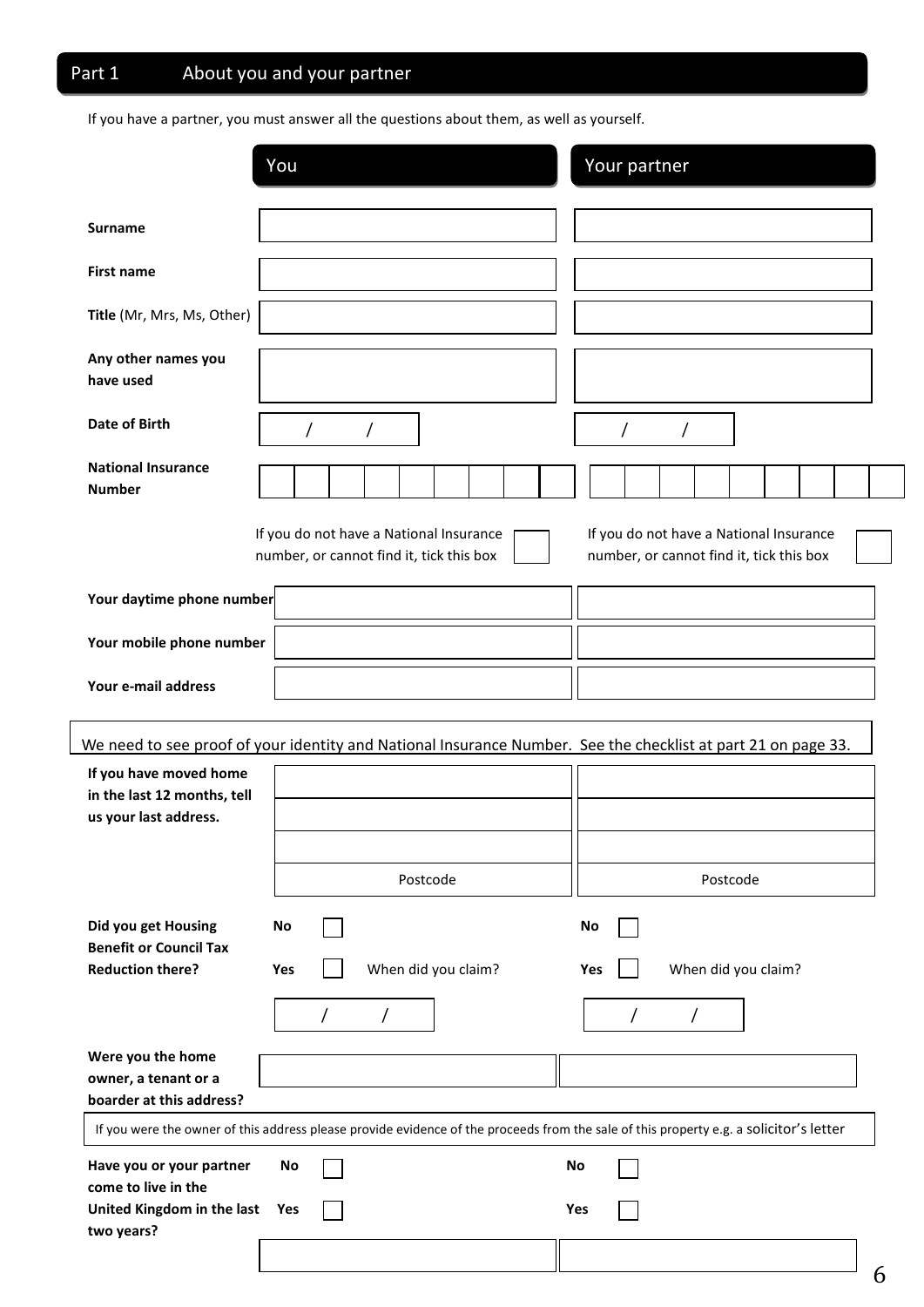# Part 1 About you and your partner

If you have a partner, you must answer all the questions about them, as well as yourself.

|                                                                                | You                                                                                                                                    | Your partner                                                                        |
|--------------------------------------------------------------------------------|----------------------------------------------------------------------------------------------------------------------------------------|-------------------------------------------------------------------------------------|
| <b>Surname</b>                                                                 |                                                                                                                                        |                                                                                     |
| <b>First name</b>                                                              |                                                                                                                                        |                                                                                     |
| Title (Mr, Mrs, Ms, Other)                                                     |                                                                                                                                        |                                                                                     |
| Any other names you<br>have used                                               |                                                                                                                                        |                                                                                     |
| Date of Birth                                                                  |                                                                                                                                        |                                                                                     |
| <b>National Insurance</b><br><b>Number</b>                                     |                                                                                                                                        |                                                                                     |
|                                                                                | If you do not have a National Insurance<br>number, or cannot find it, tick this box                                                    | If you do not have a National Insurance<br>number, or cannot find it, tick this box |
| Your daytime phone number                                                      |                                                                                                                                        |                                                                                     |
| Your mobile phone number                                                       |                                                                                                                                        |                                                                                     |
| Your e-mail address                                                            |                                                                                                                                        |                                                                                     |
|                                                                                | We need to see proof of your identity and National Insurance Number. See the checklist at part 21 on page 33.                          |                                                                                     |
| If you have moved home<br>in the last 12 months, tell<br>us your last address. |                                                                                                                                        |                                                                                     |
|                                                                                | Postcode                                                                                                                               | Postcode                                                                            |
| Did you get Housing<br><b>Benefit or Council Tax</b>                           | No<br>No                                                                                                                               |                                                                                     |
| <b>Reduction there?</b>                                                        | When did you claim?<br>Yes<br>Yes                                                                                                      | When did you claim?                                                                 |
|                                                                                | Τ<br>$\prime$                                                                                                                          |                                                                                     |
| Were you the home<br>owner, a tenant or a<br>boarder at this address?          |                                                                                                                                        |                                                                                     |
|                                                                                | If you were the owner of this address please provide evidence of the proceeds from the sale of this property e.g. a solicitor's letter |                                                                                     |
| Have you or your partner<br>come to live in the                                | No<br>No                                                                                                                               |                                                                                     |
| United Kingdom in the last Yes<br>two years?                                   | Yes                                                                                                                                    |                                                                                     |
|                                                                                |                                                                                                                                        |                                                                                     |

6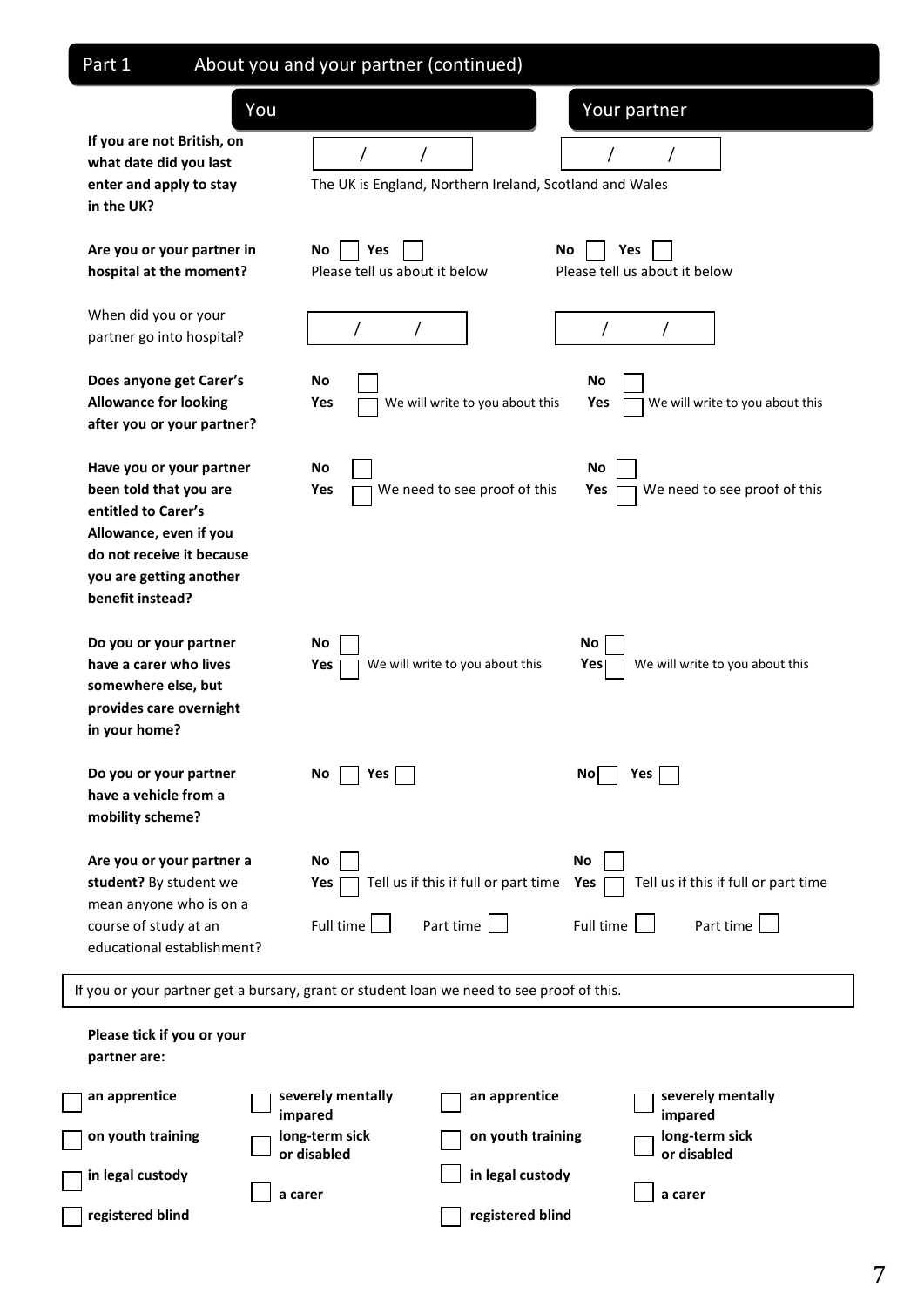| Part 1                                                                                                                                                                          | About you and your partner (continued)       |                                                         |                                      |                                                   |
|---------------------------------------------------------------------------------------------------------------------------------------------------------------------------------|----------------------------------------------|---------------------------------------------------------|--------------------------------------|---------------------------------------------------|
| You                                                                                                                                                                             |                                              |                                                         | Your partner                         |                                                   |
| If you are not British, on<br>what date did you last<br>enter and apply to stay<br>in the UK?                                                                                   |                                              | The UK is England, Northern Ireland, Scotland and Wales |                                      |                                                   |
| Are you or your partner in<br>hospital at the moment?                                                                                                                           | Yes<br>No<br>Please tell us about it below   | No                                                      | Yes<br>Please tell us about it below |                                                   |
| When did you or your<br>partner go into hospital?                                                                                                                               |                                              |                                                         | $\prime$                             |                                                   |
| Does anyone get Carer's<br><b>Allowance for looking</b><br>after you or your partner?                                                                                           | No<br>Yes                                    | We will write to you about this                         | No<br>Yes                            | We will write to you about this                   |
| Have you or your partner<br>been told that you are<br>entitled to Carer's<br>Allowance, even if you<br>do not receive it because<br>you are getting another<br>benefit instead? | No<br>Yes                                    | We need to see proof of this                            | No<br>Yes                            | We need to see proof of this                      |
| Do you or your partner<br>have a carer who lives<br>somewhere else, but<br>provides care overnight<br>in your home?                                                             | No<br>Yes                                    | We will write to you about this                         | No<br>Yes                            | We will write to you about this                   |
| Do you or your partner<br>have a vehicle from a<br>mobility scheme?                                                                                                             | No<br>Yes                                    |                                                         | No l<br>Yes                          |                                                   |
| Are you or your partner a<br>student? By student we<br>mean anyone who is on a<br>course of study at an<br>educational establishment?                                           | No<br>Yes<br>Full time $\boxed{\phantom{1}}$ | Tell us if this if full or part time<br>Part time       | No<br>Yes<br>Full time               | Tell us if this if full or part time<br>Part time |
| If you or your partner get a bursary, grant or student loan we need to see proof of this.                                                                                       |                                              |                                                         |                                      |                                                   |
| Please tick if you or your<br>partner are:                                                                                                                                      |                                              |                                                         |                                      |                                                   |
| an apprentice                                                                                                                                                                   | severely mentally<br>impared                 | an apprentice                                           | impared                              | severely mentally                                 |
| on youth training                                                                                                                                                               | long-term sick<br>or disabled                | on youth training                                       | long-term sick<br>or disabled        |                                                   |
| in legal custody                                                                                                                                                                | a carer                                      | in legal custody                                        | a carer                              |                                                   |
| registered blind                                                                                                                                                                |                                              | registered blind                                        |                                      |                                                   |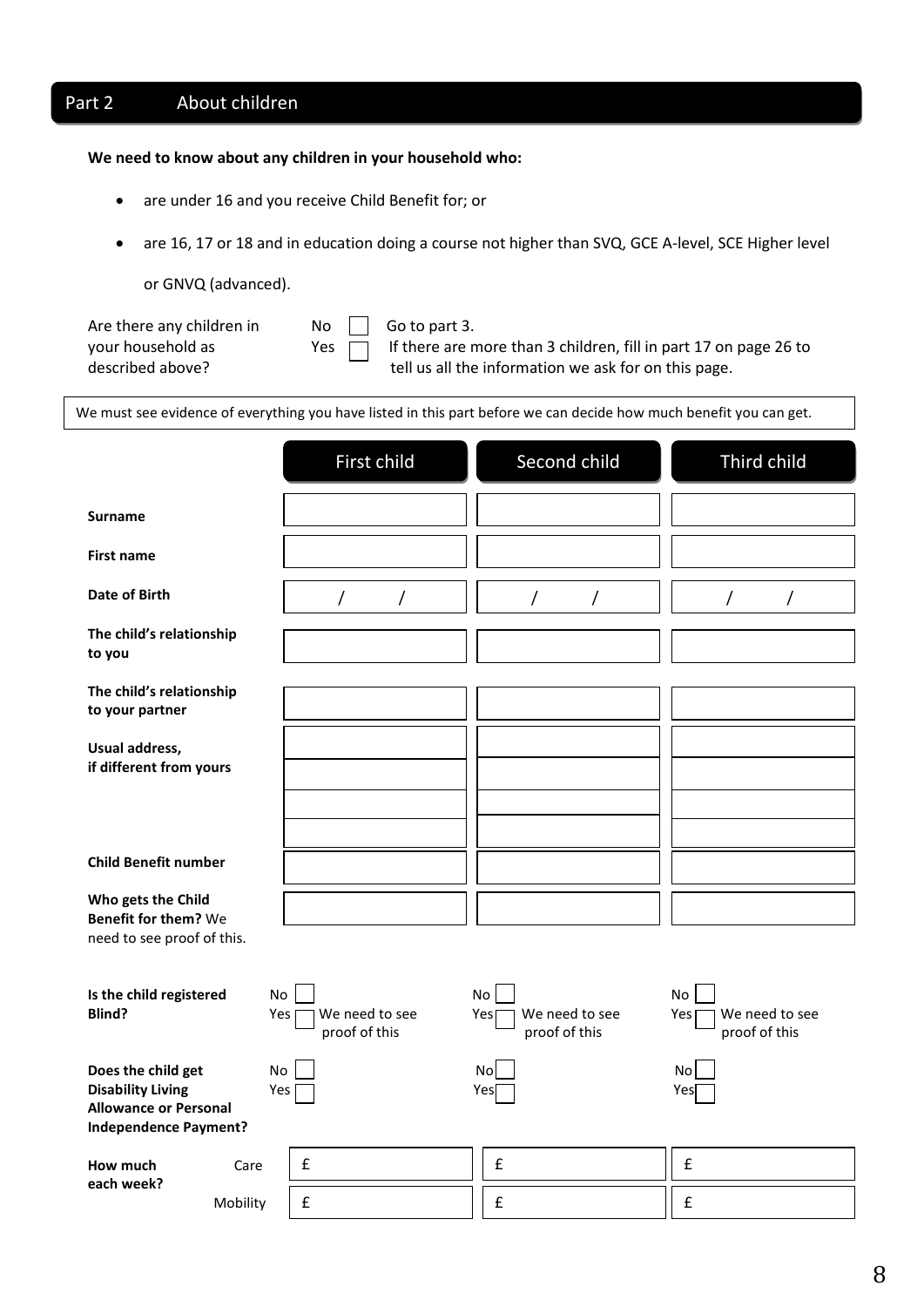## Part 2 About children

#### **We need to know about any children in your household who:**

- are under 16 and you receive Child Benefit for; or
- are 16, 17 or 18 and in education doing a course not higher than SVQ, GCE A-level, SCE Higher level

or GNVQ (advanced).

| Are there any children in |  |
|---------------------------|--|
| your household as         |  |
| described above?          |  |

 $\begin{array}{ccc} \textsf{n} & \textsf{No} & \end{array}$  Go to part 3.

Yes  $\Box$  If there are more than 3 children, fill in part 17 on page 26 to tell us all the information we ask for on this page.

We must see evidence of everything you have listed in this part before we can decide how much benefit you can get.

|                                                                                                                |                  | First child                     | Second child                                        | Third child                                  |
|----------------------------------------------------------------------------------------------------------------|------------------|---------------------------------|-----------------------------------------------------|----------------------------------------------|
| <b>Surname</b>                                                                                                 |                  |                                 |                                                     |                                              |
| <b>First name</b>                                                                                              |                  |                                 |                                                     |                                              |
| Date of Birth                                                                                                  |                  | /<br>Τ                          | T<br>Τ                                              | Τ<br>$\prime$                                |
| The child's relationship<br>to you                                                                             |                  |                                 |                                                     |                                              |
| The child's relationship<br>to your partner                                                                    |                  |                                 |                                                     |                                              |
| Usual address,<br>if different from yours                                                                      |                  |                                 |                                                     |                                              |
|                                                                                                                |                  |                                 |                                                     |                                              |
|                                                                                                                |                  |                                 |                                                     |                                              |
| <b>Child Benefit number</b>                                                                                    |                  |                                 |                                                     |                                              |
| Who gets the Child<br><b>Benefit for them?</b> We                                                              |                  |                                 |                                                     |                                              |
| need to see proof of this.                                                                                     |                  |                                 |                                                     |                                              |
| Is the child registered<br>Blind?                                                                              | No<br>Yes        | We need to see<br>proof of this | <b>No</b><br>We need to see<br>Yes<br>proof of this | No<br>We need to see<br>Yes<br>proof of this |
| Does the child get<br><b>Disability Living</b><br><b>Allowance or Personal</b><br><b>Independence Payment?</b> | <b>No</b><br>Yes |                                 | Nol<br>Yes                                          | No<br>Yes                                    |
| How much                                                                                                       | Care             | £                               | £                                                   | $\pmb{\mathsf{f}}$                           |
| each week?                                                                                                     | Mobility         | £                               | £                                                   | £                                            |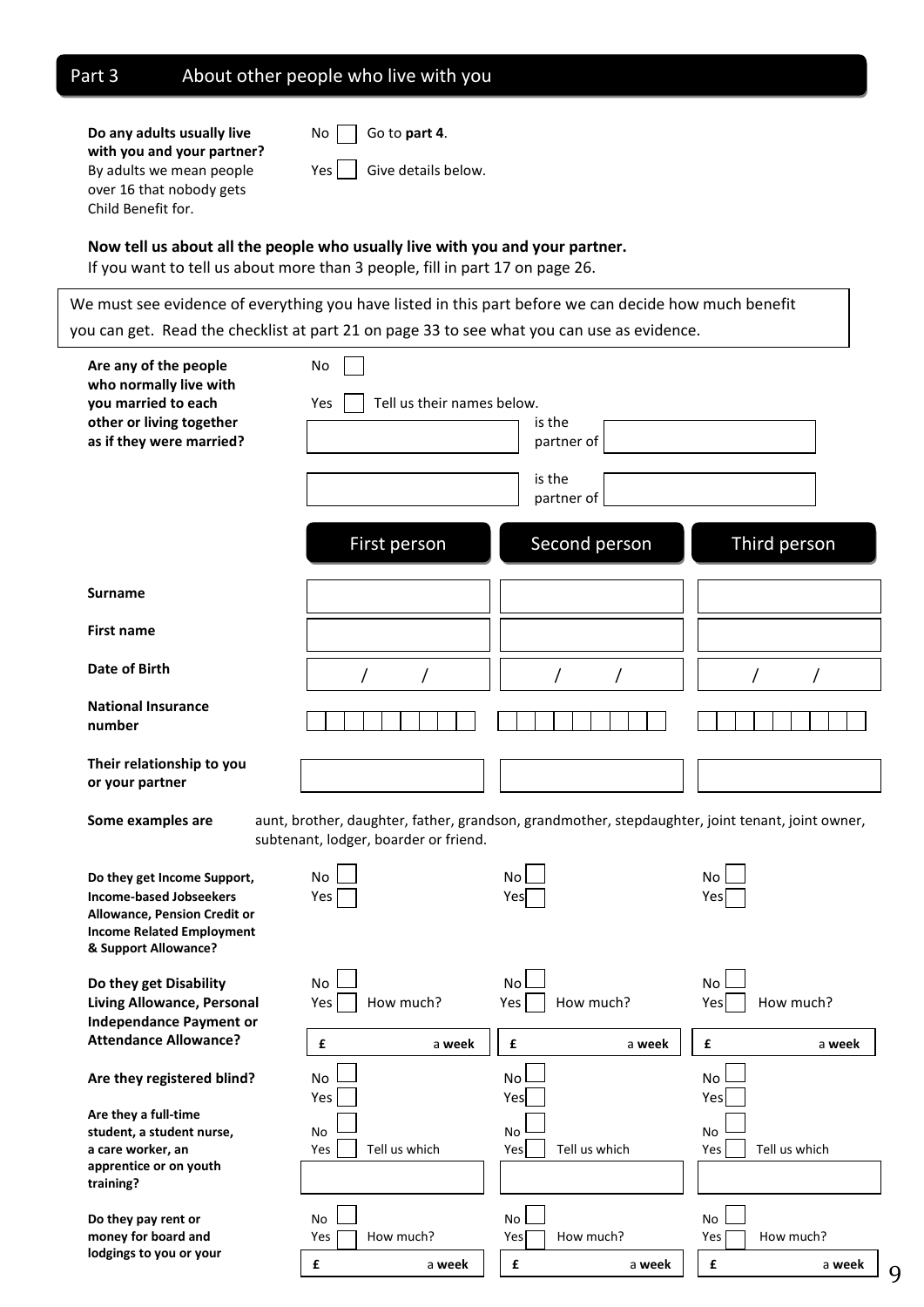| Part 3                                                                                                                                                                                                                                                                                                 | About other people who live with you              |                                                                                                  |                                            |
|--------------------------------------------------------------------------------------------------------------------------------------------------------------------------------------------------------------------------------------------------------------------------------------------------------|---------------------------------------------------|--------------------------------------------------------------------------------------------------|--------------------------------------------|
| Do any adults usually live<br>with you and your partner?<br>By adults we mean people<br>over 16 that nobody gets<br>Child Benefit for.<br>Now tell us about all the people who usually live with you and your partner.<br>If you want to tell us about more than 3 people, fill in part 17 on page 26. | Go to part 4.<br>No<br>Give details below.<br>Yes |                                                                                                  |                                            |
| We must see evidence of everything you have listed in this part before we can decide how much benefit                                                                                                                                                                                                  |                                                   |                                                                                                  |                                            |
| you can get. Read the checklist at part 21 on page 33 to see what you can use as evidence.                                                                                                                                                                                                             |                                                   |                                                                                                  |                                            |
| Are any of the people<br>who normally live with<br>you married to each<br>other or living together<br>as if they were married?                                                                                                                                                                         | No<br>Tell us their names below.<br>Yes           | is the<br>partner of<br>is the                                                                   |                                            |
|                                                                                                                                                                                                                                                                                                        | <b>First person</b>                               | partner of<br>Second person                                                                      | Third person                               |
| <b>Surname</b>                                                                                                                                                                                                                                                                                         |                                                   |                                                                                                  |                                            |
| <b>First name</b>                                                                                                                                                                                                                                                                                      |                                                   |                                                                                                  |                                            |
| Date of Birth                                                                                                                                                                                                                                                                                          |                                                   |                                                                                                  |                                            |
| <b>National Insurance</b><br>number                                                                                                                                                                                                                                                                    |                                                   |                                                                                                  |                                            |
| Their relationship to you<br>or your partner                                                                                                                                                                                                                                                           |                                                   |                                                                                                  |                                            |
| Some examples are                                                                                                                                                                                                                                                                                      | subtenant, lodger, boarder or friend.             | aunt, brother, daughter, father, grandson, grandmother, stepdaughter, joint tenant, joint owner, |                                            |
| Do they get Income Support,<br><b>Income-based Jobseekers</b><br><b>Allowance, Pension Credit or</b><br><b>Income Related Employment</b><br>& Support Allowance?                                                                                                                                       | No<br>Yes                                         | No<br>Yes                                                                                        | <b>No</b><br>Yes                           |
| Do they get Disability<br>Living Allowance, Personal<br><b>Independance Payment or</b>                                                                                                                                                                                                                 | <b>No</b><br>Yes<br>How much?                     | No<br>Yes<br>How much?                                                                           | <b>No</b><br>Yes<br>How much?              |
| <b>Attendance Allowance?</b>                                                                                                                                                                                                                                                                           | $\pmb{\epsilon}$<br>a week                        | $\pmb{\mathsf{f}}$<br>a week                                                                     | $\pmb{\mathsf{f}}$<br>a week               |
| Are they registered blind?                                                                                                                                                                                                                                                                             | No<br>Yes                                         | No<br>Yes                                                                                        | <b>No</b><br>Yes                           |
| Are they a full-time<br>student, a student nurse,<br>a care worker, an<br>apprentice or on youth<br>training?                                                                                                                                                                                          | No<br>Tell us which<br>Yes                        | No<br>Yes<br>Tell us which                                                                       | No<br>Tell us which<br>Yes                 |
| Do they pay rent or<br>money for board and<br>lodgings to you or your                                                                                                                                                                                                                                  | No<br>How much?<br>Yes<br>£<br>a week             | No<br>How much?<br>Yes<br>£<br>a week                                                            | No<br>How much?<br>Yes<br>£<br>a week<br>9 |

 $\sqrt{ }$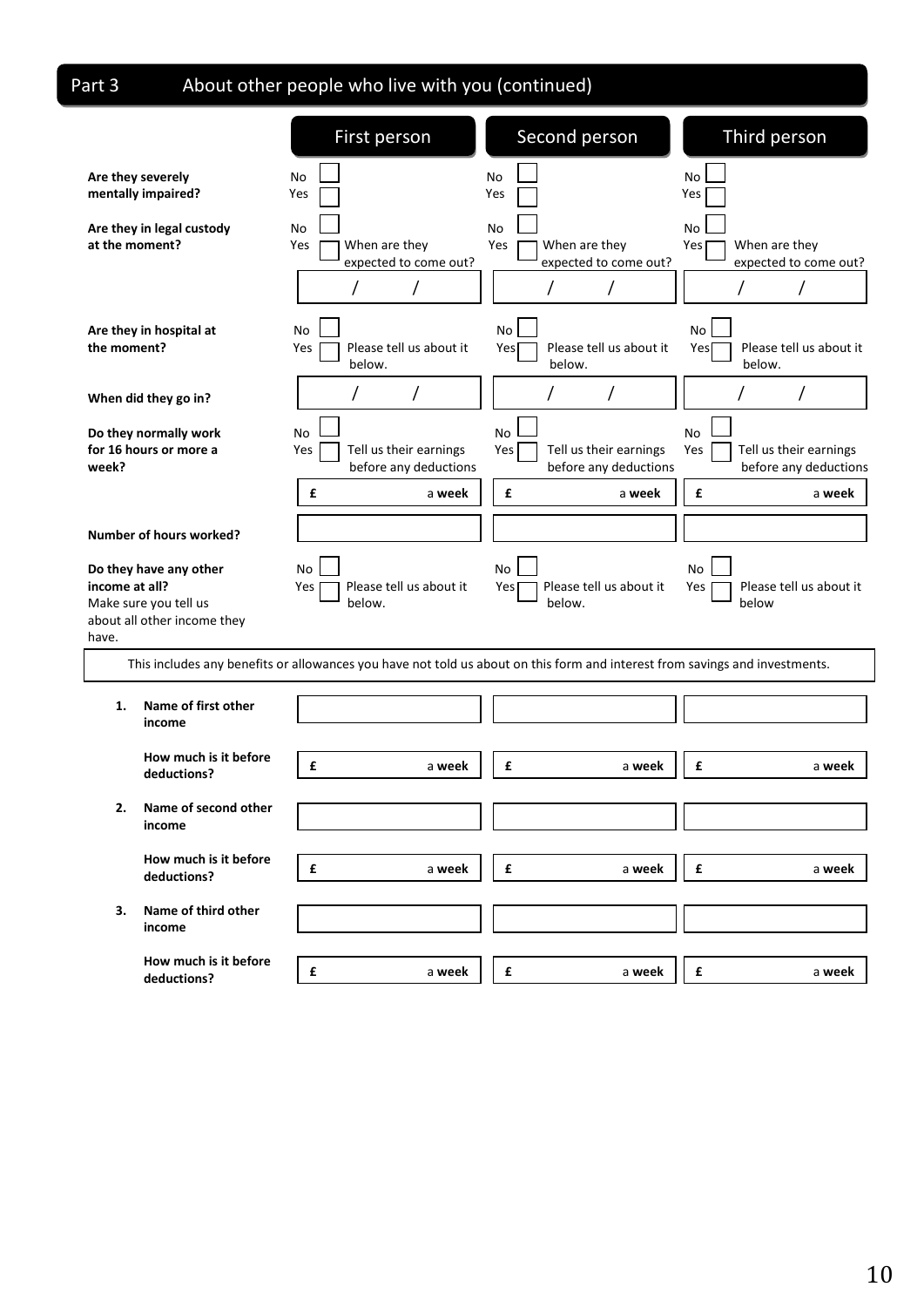Part 3

# About other people who live with you (continued)

|                                                                                                           | First person                                                                                                                | Second person                                                | Third person                                                 |
|-----------------------------------------------------------------------------------------------------------|-----------------------------------------------------------------------------------------------------------------------------|--------------------------------------------------------------|--------------------------------------------------------------|
| Are they severely<br>mentally impaired?                                                                   | No<br>Yes                                                                                                                   | No<br>Yes                                                    | No<br>Yes                                                    |
| Are they in legal custody<br>at the moment?                                                               | No<br>When are they<br>Yes<br>expected to come out?                                                                         | No<br>When are they<br>Yes<br>expected to come out?          | No<br>Yes<br>When are they<br>expected to come out?          |
| Are they in hospital at<br>the moment?                                                                    | No<br>Please tell us about it<br>Yes<br>below.                                                                              | No<br>Please tell us about it<br>Yes<br>below.               | No<br>Please tell us about it<br>Yes<br>below.               |
| When did they go in?                                                                                      | I                                                                                                                           |                                                              |                                                              |
| Do they normally work<br>for 16 hours or more a<br>week?                                                  | No<br>Tell us their earnings<br>Yes<br>before any deductions                                                                | No<br>Yes<br>Tell us their earnings<br>before any deductions | No<br>Tell us their earnings<br>Yes<br>before any deductions |
|                                                                                                           | £<br>a week                                                                                                                 | £<br>a week                                                  | £<br>a week                                                  |
| <b>Number of hours worked?</b>                                                                            |                                                                                                                             |                                                              |                                                              |
| Do they have any other<br>income at all?<br>Make sure you tell us<br>about all other income they<br>have. | No<br>Please tell us about it<br>Yes<br>below.                                                                              | No<br>Please tell us about it<br>Yes<br>below.               | No<br>Please tell us about it<br>Yes<br>below                |
|                                                                                                           | This includes any benefits or allowances you have not told us about on this form and interest from savings and investments. |                                                              |                                                              |
| Name of first other<br>1.<br>income                                                                       |                                                                                                                             |                                                              |                                                              |
| How much is it before<br>deductions?                                                                      | £<br>a week                                                                                                                 | £<br>a week                                                  | £<br>a week                                                  |
| Name of second other<br>income                                                                            |                                                                                                                             |                                                              |                                                              |
| How much is it before<br>deductions?                                                                      | £<br>a week                                                                                                                 | £<br>a week                                                  | £<br>a week                                                  |
| Name of third other<br>З.<br>income                                                                       |                                                                                                                             |                                                              |                                                              |
| How much is it before<br>deductions?                                                                      | £<br>a week                                                                                                                 | £<br>a week                                                  | £<br>a week                                                  |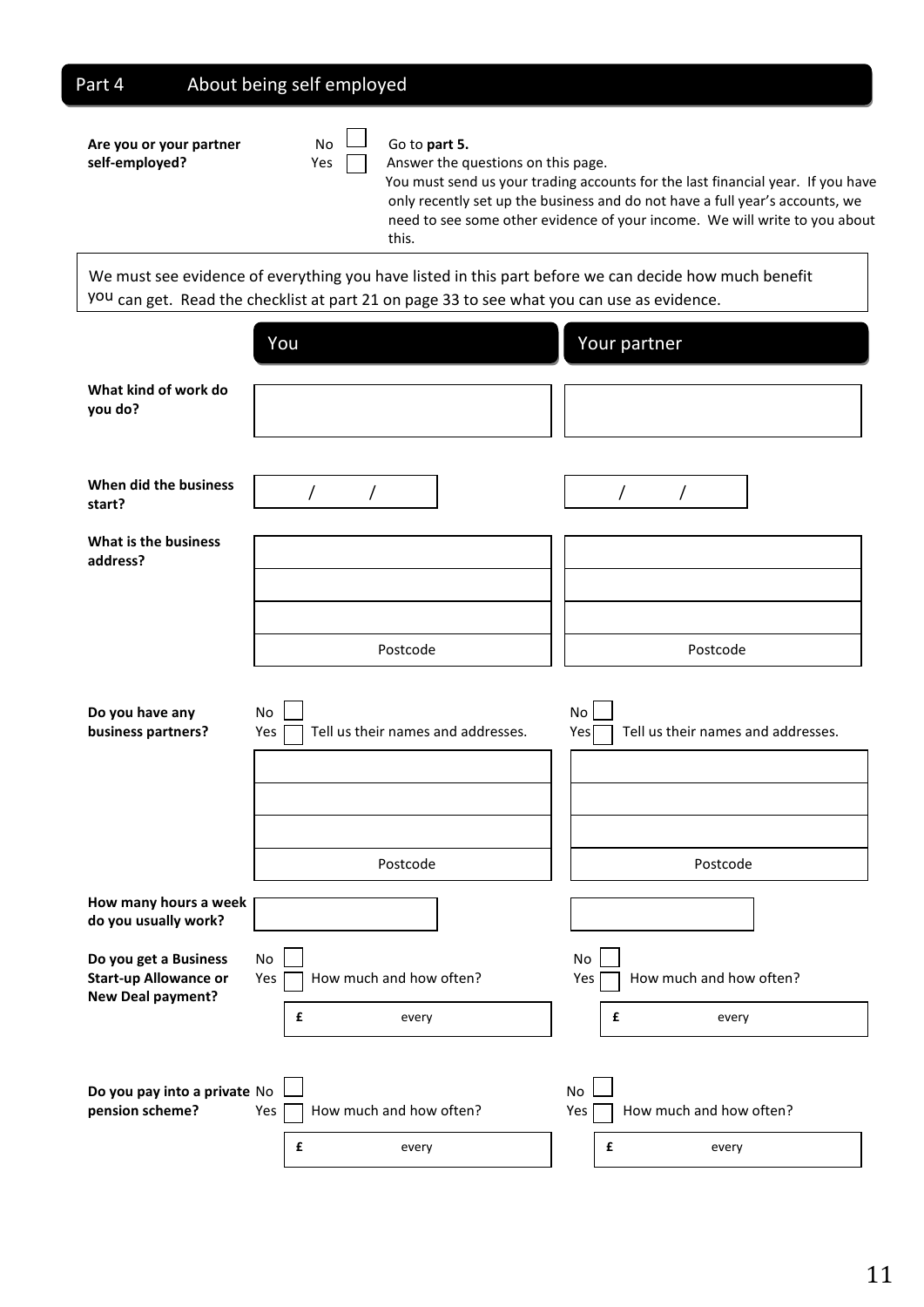# Part 4 About being self employed

| Are you or your partner<br>self-employed? | No.<br>Yes | Go to part 5.<br>Answer the questions on this page.<br>You must send us your trading accounts for the last financial year. If you have<br>only recently set up the business and do not have a full year's accounts, we<br>need to see some other evidence of your income. We will write to you about<br>this. |
|-------------------------------------------|------------|---------------------------------------------------------------------------------------------------------------------------------------------------------------------------------------------------------------------------------------------------------------------------------------------------------------|
|                                           |            | We must see evidence of everything you have listed in this part before we can decide how much benefit<br>you can get. Read the checklist at part 21 on page 33 to see what you can use as evidence.                                                                                                           |
|                                           | You        | Your partner                                                                                                                                                                                                                                                                                                  |

|                                                                            | TUU                                             | <b>TOUT PATTIEL</b>                                          |
|----------------------------------------------------------------------------|-------------------------------------------------|--------------------------------------------------------------|
| What kind of work do<br>you do?                                            |                                                 |                                                              |
| When did the business<br>start?                                            | /                                               | $\overline{1}$                                               |
| What is the business<br>address?                                           |                                                 |                                                              |
|                                                                            | Postcode                                        | Postcode                                                     |
| Do you have any<br>business partners?                                      | No<br>Tell us their names and addresses.<br>Yes | No<br>Yes <sup>[</sup><br>Tell us their names and addresses. |
|                                                                            | Postcode                                        | Postcode                                                     |
| How many hours a week<br>do you usually work?                              |                                                 |                                                              |
| Do you get a Business<br><b>Start-up Allowance or</b><br>New Deal payment? | No<br>How much and how often?<br>Yes            | No<br>How much and how often?<br>Yes                         |
|                                                                            | £<br>every                                      | £<br>every                                                   |
| Do you pay into a private No<br>pension scheme?                            | How much and how often?<br>Yes<br>£<br>every    | No<br>How much and how often?<br>Yes<br>£<br>every           |
|                                                                            |                                                 |                                                              |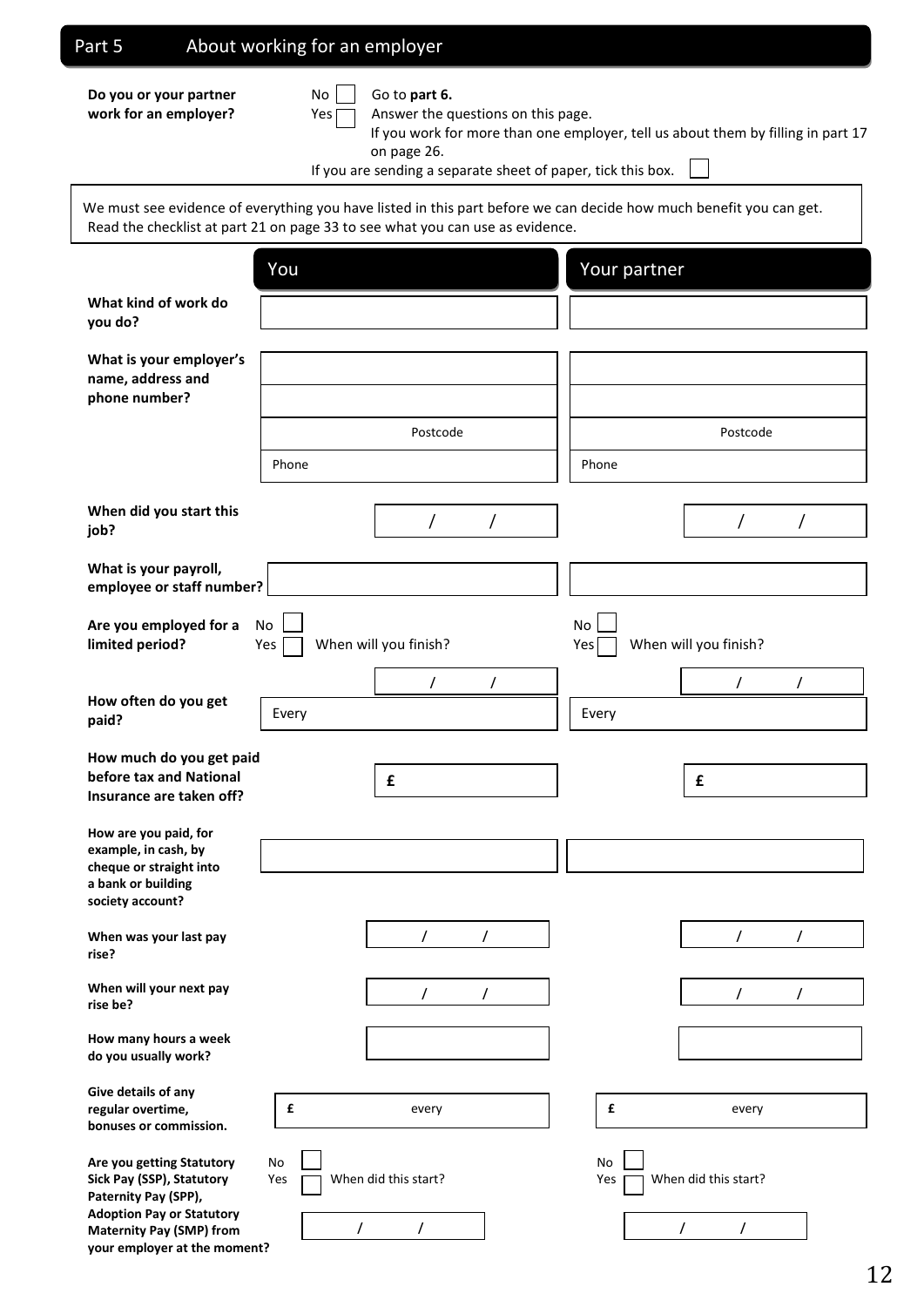## Part 5 About working for an employer

**Do you or your partner** No Go to **part 6.** 

**your employer at the moment?**

| M. |  |
|----|--|
|    |  |
|    |  |

**work for an employer?** Yes Answer the questions on this page.

If you work for more than one employer, tell us about them by filling in part 17 on page 26.

If you are sending a separate sheet of paper, tick this box.

**What kind of work do you do? What is your employer's name, address and phone number? When did you start this job? What is your payroll, employee or staff number? Are you employed for a**  $\Box$  **No**  $\Box$  **No**  $\Box$  **No limited period?** Yes When will you finish? Yes When will you finish? **How often do you get paid? How much do you get paid before tax and National Insurance are taken off? How are you paid, for example, in cash, by cheque or straight into a bank or building society account? When was your last pay rise? When will your next pay rise be? How many hours a week do you usually work? Give details of any regular overtime, bonuses or commission. Are you getting Statutory** No No **Sick Pay (SSP), Statutory** Yes **Yes When did this start?** Yes **Yes** When did this start? **Paternity Pay (SPP), Adoption Pay or Statutory Maternity Pay (SMP) from**  We must see evidence of everything you have listed in this part before we can decide how much benefit you can get. Read the checklist at part 21 on page 33 to see what you can use as evidence. You Your partner Phone Postcode / / / / Postcode Phone / / / / Every **Exercise Exercise Every £ £** / / / / / / **£** every **£** every / / / / / /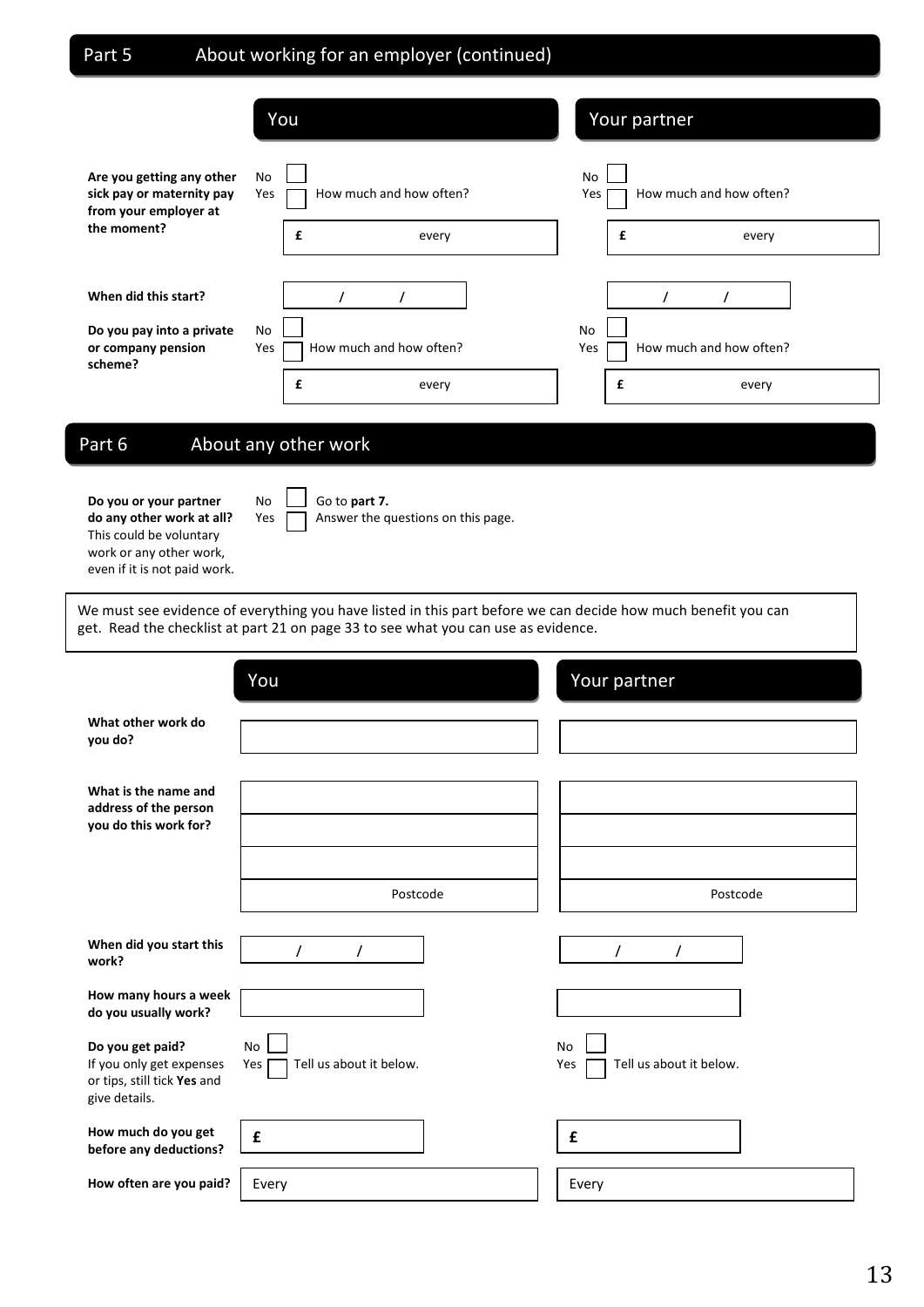## Part 5 About working for an employer (continued)

|                                                                                    | You                                                | Your partner                                              |
|------------------------------------------------------------------------------------|----------------------------------------------------|-----------------------------------------------------------|
| Are you getting any other<br>sick pay or maternity pay<br>from your employer at    | No<br>How much and how often?<br>Yes               | No<br>How much and how often?<br>Yes                      |
| the moment?                                                                        | £<br>every                                         | £<br>every                                                |
| When did this start?<br>Do you pay into a private<br>or company pension<br>scheme? | No<br>How much and how often?<br>Yes<br>£<br>every | <b>No</b><br>How much and how often?<br>Yes<br>£<br>every |

## Part 6 About any other work

**Do you or your partner** No  $\Box$  Go to part 7. **do any other work at all?** Yes **A** Answer the questions on this page. This could be voluntary work or any other work, even if it is not paid work.

We must see evidence of everything you have listed in this part before we can decide how much benefit you can get. Read the checklist at part 21 on page 33 to see what you can use as evidence.

|                                                                                              | You                                         | Your partner                                |
|----------------------------------------------------------------------------------------------|---------------------------------------------|---------------------------------------------|
| What other work do<br>you do?                                                                |                                             |                                             |
| What is the name and<br>address of the person<br>you do this work for?                       |                                             |                                             |
|                                                                                              | Postcode                                    | Postcode                                    |
| When did you start this<br>work?                                                             | $\prime$<br>$\prime$                        | $\prime$<br>$\prime$                        |
| How many hours a week<br>do you usually work?                                                |                                             |                                             |
| Do you get paid?<br>If you only get expenses<br>or tips, still tick Yes and<br>give details. | <b>No</b><br>Tell us about it below.<br>Yes | <b>No</b><br>Tell us about it below.<br>Yes |
| How much do you get<br>before any deductions?                                                | £                                           | £                                           |
| How often are you paid?                                                                      | Every                                       | Every                                       |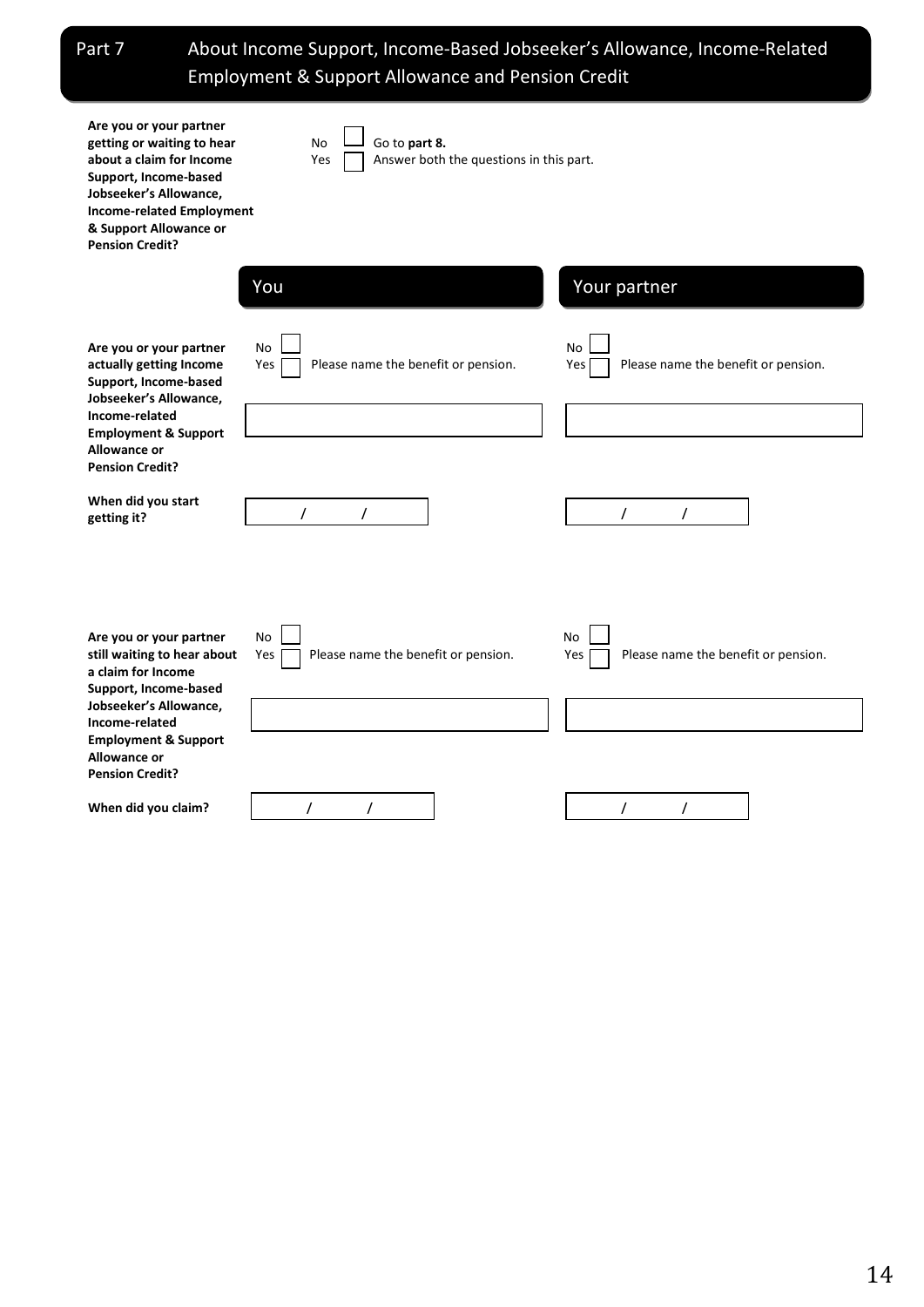Part 7 About Income Support, Income-Based Jobseeker's Allowance, Income-Related Employment & Support Allowance and Pension Credit

| Are you or your partner<br>getting or waiting to hear<br>about a claim for Income<br>Support, Income-based<br>Jobseeker's Allowance,<br><b>Income-related Employment</b><br>& Support Allowance or<br><b>Pension Credit?</b> | <b>No</b><br>Go to part 8.<br>Answer both the questions in this part.<br>Yes |                                                         |  |  |  |  |  |
|------------------------------------------------------------------------------------------------------------------------------------------------------------------------------------------------------------------------------|------------------------------------------------------------------------------|---------------------------------------------------------|--|--|--|--|--|
|                                                                                                                                                                                                                              | You                                                                          | Your partner                                            |  |  |  |  |  |
| Are you or your partner<br>actually getting Income<br>Support, Income-based<br>Jobseeker's Allowance,                                                                                                                        | No<br>Please name the benefit or pension.<br>Yes                             | No<br>Please name the benefit or pension.<br>Yes        |  |  |  |  |  |
| Income-related<br><b>Employment &amp; Support</b><br><b>Allowance or</b>                                                                                                                                                     |                                                                              |                                                         |  |  |  |  |  |
| <b>Pension Credit?</b><br>When did you start<br>getting it?                                                                                                                                                                  | $\prime$<br>$\prime$                                                         | $\prime$<br>$\prime$                                    |  |  |  |  |  |
| Are you or your partner<br>still waiting to hear about<br>a claim for Income<br>Support, Income-based<br>Jobseeker's Allowance,                                                                                              | <b>No</b><br>Please name the benefit or pension.<br>Yes                      | <b>No</b><br>Please name the benefit or pension.<br>Yes |  |  |  |  |  |
| Income-related<br><b>Employment &amp; Support</b><br>Allowance or<br><b>Pension Credit?</b>                                                                                                                                  |                                                                              |                                                         |  |  |  |  |  |
| When did you claim?                                                                                                                                                                                                          | $\prime$<br>$\prime$                                                         | $\prime$<br>$\prime$                                    |  |  |  |  |  |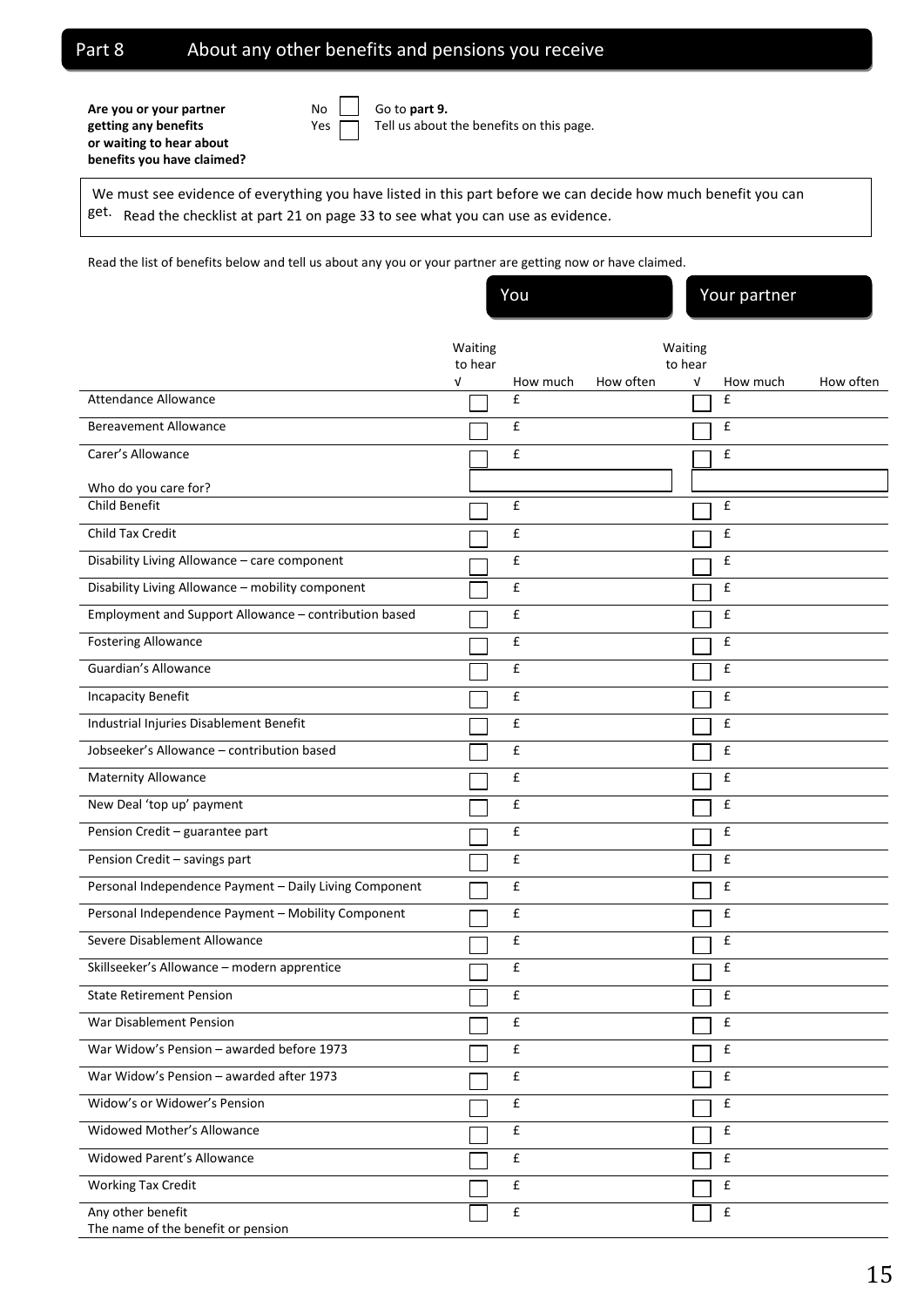## Part 8 About any other benefits and pensions you receive

Are you or your partner<br>
No Go to part 9. **or waiting to hear about benefits you have claimed?**

getting any benefits **Exercise Setting any benefits Setting any benefits** on this page.

We must see evidence of everything you have listed in this part before we can decide how much benefit you can get. Read the checklist at part 21 on page 33 to see what you can use as evidence.

Read the list of benefits below and tell us about any you or your partner are getting now or have claimed.

You Your partner

|                                                         | Waiting<br>to hear |                    |           | Waiting<br>to hear |                    |           |
|---------------------------------------------------------|--------------------|--------------------|-----------|--------------------|--------------------|-----------|
|                                                         | $\sqrt{ }$         | How much           | How often | V                  | How much           | How often |
| Attendance Allowance                                    |                    | £                  |           |                    | £                  |           |
| <b>Bereavement Allowance</b>                            |                    | £                  |           |                    | £                  |           |
| Carer's Allowance                                       |                    | £                  |           |                    | £                  |           |
| Who do you care for?                                    |                    |                    |           |                    |                    |           |
| Child Benefit                                           |                    | £                  |           |                    | £                  |           |
| Child Tax Credit                                        |                    | $\pmb{\mathsf{f}}$ |           |                    | £                  |           |
| Disability Living Allowance - care component            |                    | $\pmb{\mathsf{f}}$ |           |                    | £                  |           |
| Disability Living Allowance - mobility component        |                    | £                  |           |                    | £                  |           |
| Employment and Support Allowance - contribution based   |                    | £                  |           |                    | £                  |           |
| <b>Fostering Allowance</b>                              |                    | £                  |           |                    | £                  |           |
| Guardian's Allowance                                    |                    | £                  |           |                    | £                  |           |
| <b>Incapacity Benefit</b>                               |                    | £                  |           |                    | £                  |           |
| Industrial Injuries Disablement Benefit                 |                    | $\pmb{\mathsf{f}}$ |           |                    | £                  |           |
| Jobseeker's Allowance - contribution based              |                    | £                  |           |                    | £                  |           |
| Maternity Allowance                                     |                    | £                  |           |                    | £                  |           |
| New Deal 'top up' payment                               |                    | £                  |           |                    | £                  |           |
| Pension Credit - guarantee part                         |                    | £                  |           |                    | £                  |           |
| Pension Credit - savings part                           |                    | $\pmb{\mathsf{f}}$ |           |                    | £                  |           |
| Personal Independence Payment - Daily Living Component  |                    | £                  |           |                    | £                  |           |
| Personal Independence Payment - Mobility Component      |                    | £                  |           |                    | £                  |           |
| Severe Disablement Allowance                            |                    | £                  |           |                    | £                  |           |
| Skillseeker's Allowance - modern apprentice             |                    | £                  |           |                    | £                  |           |
| <b>State Retirement Pension</b>                         |                    | £                  |           |                    | £                  |           |
| War Disablement Pension                                 |                    | £                  |           |                    | £                  |           |
| War Widow's Pension - awarded before 1973               |                    | £                  |           |                    | £                  |           |
| War Widow's Pension - awarded after 1973                |                    | £                  |           |                    | £                  |           |
| Widow's or Widower's Pension                            |                    | $\pmb{\mathsf{f}}$ |           |                    | £                  |           |
| Widowed Mother's Allowance                              |                    | £                  |           |                    | £                  |           |
| <b>Widowed Parent's Allowance</b>                       |                    | $\pmb{\mathsf{f}}$ |           |                    | £                  |           |
| <b>Working Tax Credit</b>                               |                    | $\mathbf f$        |           |                    | $\pmb{\mathsf{f}}$ |           |
| Any other benefit<br>The name of the benefit or pension |                    | £                  |           |                    | $\pmb{\mathsf{f}}$ |           |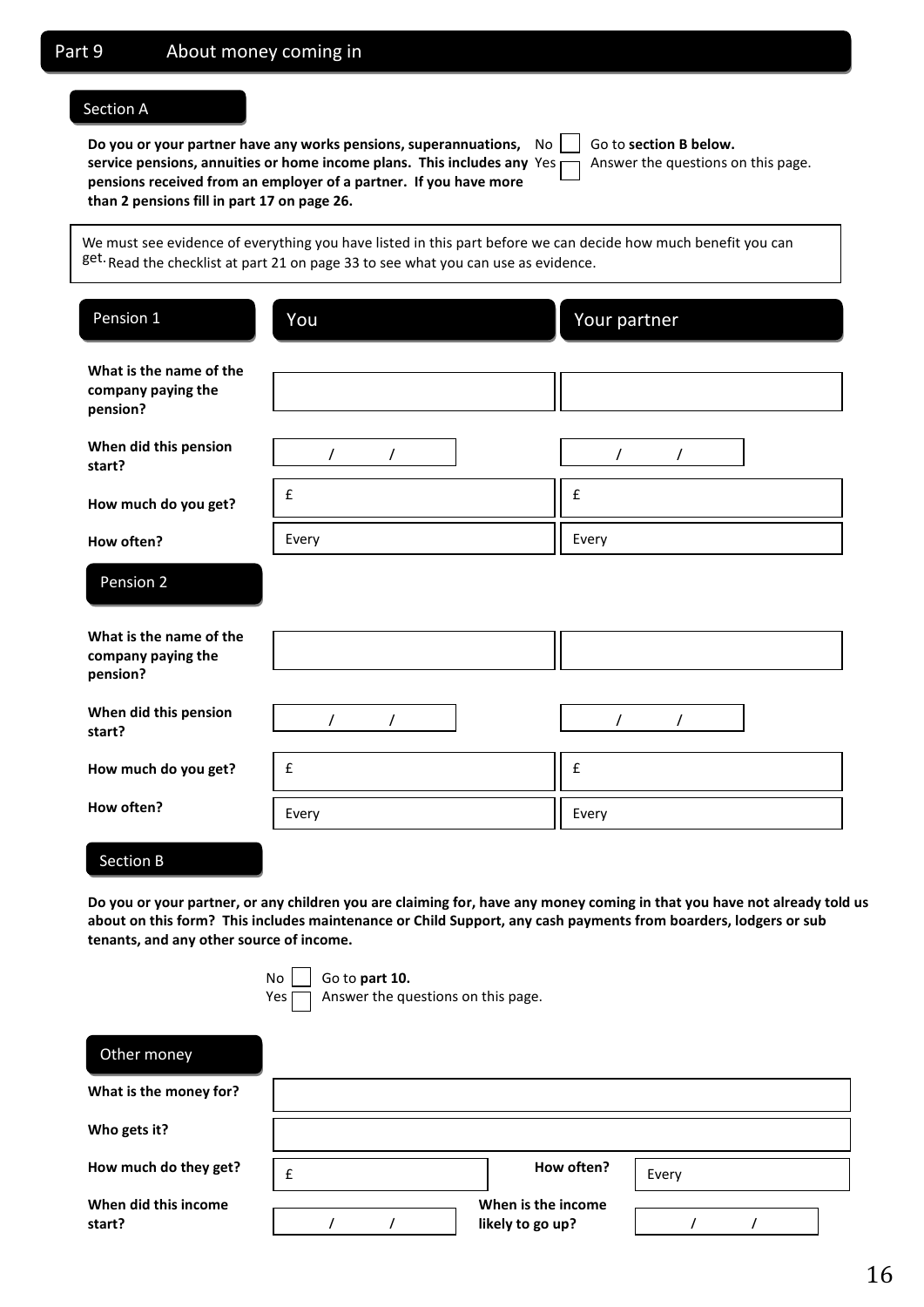#### Section A

**Do you or your partner have any works pensions, superannuations,** No Go to section B below. **service pensions, annuities or home income plans. This includes any** Yes  $\Box$  Answer the questions on this page. **pensions received from an employer of a partner. If you have more than 2 pensions fill in part 17 on page 26.** 

| Go to section |
|---------------|
| Answer the o  |

We must see evidence of everything you have listed in this part before we can decide how much benefit you can get. Read the checklist at part 21 on page 33 to see what you can use as evidence.

| Pension 1                                                 | You                  | Your partner         |  |  |  |  |
|-----------------------------------------------------------|----------------------|----------------------|--|--|--|--|
| What is the name of the<br>company paying the<br>pension? |                      |                      |  |  |  |  |
| When did this pension<br>start?                           | $\prime$<br>$\prime$ | $\prime$<br>$\prime$ |  |  |  |  |
| How much do you get?                                      | £                    | £                    |  |  |  |  |
| How often?                                                | Every                | Every                |  |  |  |  |
| Pension 2                                                 |                      |                      |  |  |  |  |
| What is the name of the<br>company paying the<br>pension? |                      |                      |  |  |  |  |
| When did this pension<br>start?                           | $\prime$<br>$\prime$ | $\prime$<br>$\prime$ |  |  |  |  |
| How much do you get?                                      | $\mathbf f$          | £                    |  |  |  |  |
| How often?                                                | Every                | Every                |  |  |  |  |

## Section B

**Do you or your partner, or any children you are claiming for, have any money coming in that you have not already told us about on this form? This includes maintenance or Child Support, any cash payments from boarders, lodgers or sub tenants, and any other source of income.**

**No** | Go to **part 10.** 

 $Yes \frown$  Answer the questions on this page.

| Other money                    |   |  |  |                                        |       |  |  |
|--------------------------------|---|--|--|----------------------------------------|-------|--|--|
| What is the money for?         |   |  |  |                                        |       |  |  |
| Who gets it?                   |   |  |  |                                        |       |  |  |
| How much do they get?          | £ |  |  | How often?                             | Every |  |  |
| When did this income<br>start? |   |  |  | When is the income<br>likely to go up? |       |  |  |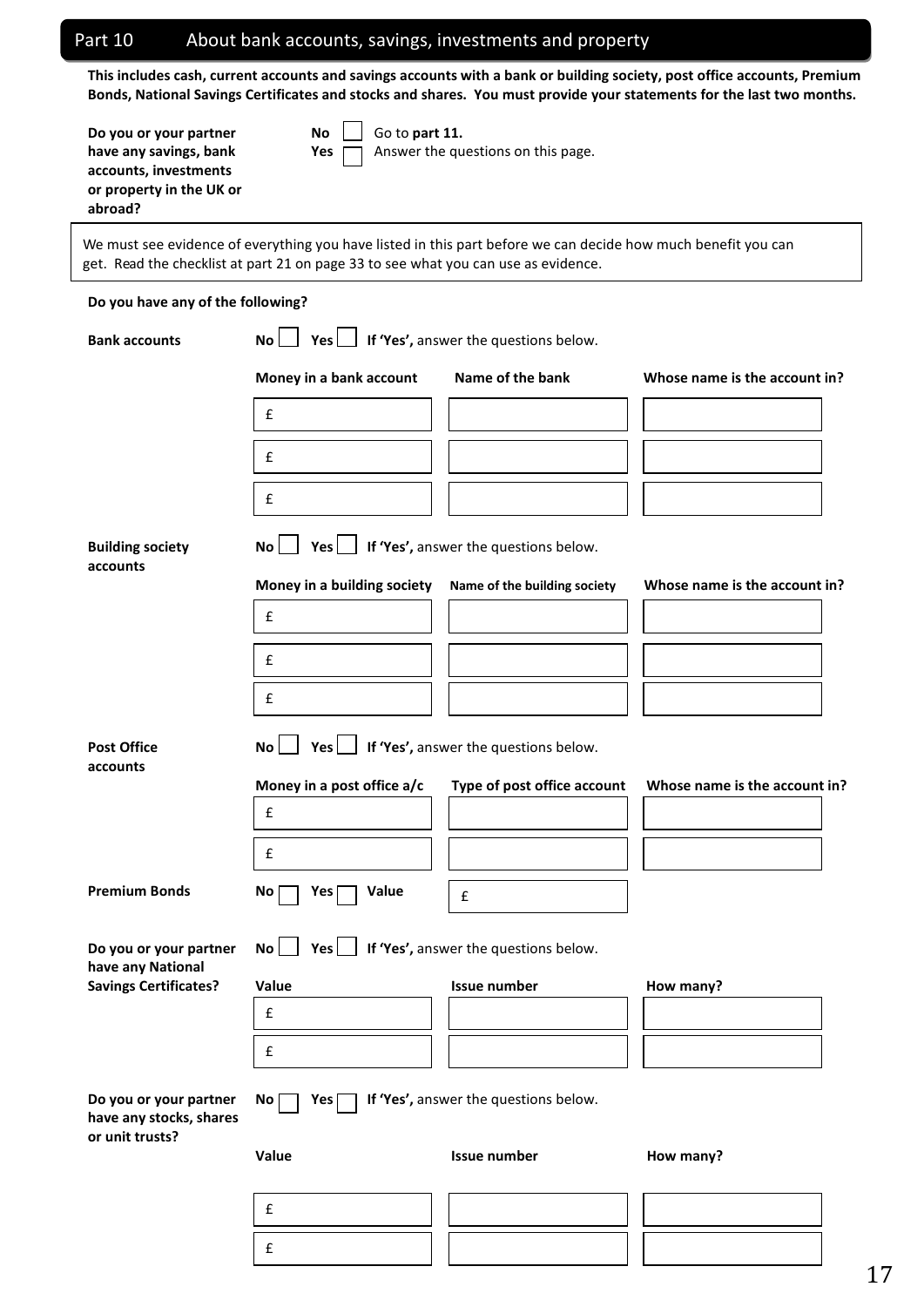|                                                                                                                  |                                                                                    | About bank accounts, savings, investments and property                                                        |                                                                                                                                                                                                                                                   |  |  |  |  |
|------------------------------------------------------------------------------------------------------------------|------------------------------------------------------------------------------------|---------------------------------------------------------------------------------------------------------------|---------------------------------------------------------------------------------------------------------------------------------------------------------------------------------------------------------------------------------------------------|--|--|--|--|
|                                                                                                                  |                                                                                    |                                                                                                               | This includes cash, current accounts and savings accounts with a bank or building society, post office accounts, Premium<br>Bonds, National Savings Certificates and stocks and shares. You must provide your statements for the last two months. |  |  |  |  |
| Do you or your partner<br>have any savings, bank<br>accounts, investments<br>or property in the UK or<br>abroad? | Go to part 11.<br>No<br>Yes                                                        | Answer the questions on this page.                                                                            |                                                                                                                                                                                                                                                   |  |  |  |  |
|                                                                                                                  | get. Read the checklist at part 21 on page 33 to see what you can use as evidence. | We must see evidence of everything you have listed in this part before we can decide how much benefit you can |                                                                                                                                                                                                                                                   |  |  |  |  |
| Do you have any of the following?                                                                                |                                                                                    |                                                                                                               |                                                                                                                                                                                                                                                   |  |  |  |  |
| <b>Bank accounts</b>                                                                                             | Yes<br><b>No</b>                                                                   | If 'Yes', answer the questions below.                                                                         |                                                                                                                                                                                                                                                   |  |  |  |  |
|                                                                                                                  | Money in a bank account                                                            | Name of the bank                                                                                              | Whose name is the account in?                                                                                                                                                                                                                     |  |  |  |  |
|                                                                                                                  | £                                                                                  |                                                                                                               |                                                                                                                                                                                                                                                   |  |  |  |  |
|                                                                                                                  | £                                                                                  |                                                                                                               |                                                                                                                                                                                                                                                   |  |  |  |  |
|                                                                                                                  | £                                                                                  |                                                                                                               |                                                                                                                                                                                                                                                   |  |  |  |  |
| <b>Building society</b><br>accounts                                                                              | $Yes$  <br><b>No</b>                                                               | If 'Yes', answer the questions below.                                                                         |                                                                                                                                                                                                                                                   |  |  |  |  |
|                                                                                                                  | Money in a building society                                                        | Name of the building society                                                                                  | Whose name is the account in?                                                                                                                                                                                                                     |  |  |  |  |
|                                                                                                                  | £                                                                                  |                                                                                                               |                                                                                                                                                                                                                                                   |  |  |  |  |
|                                                                                                                  | £                                                                                  |                                                                                                               |                                                                                                                                                                                                                                                   |  |  |  |  |
|                                                                                                                  | £                                                                                  |                                                                                                               |                                                                                                                                                                                                                                                   |  |  |  |  |
| <b>Post Office</b>                                                                                               | Yes $\Box$ If 'Yes', answer the questions below.<br>No                             |                                                                                                               |                                                                                                                                                                                                                                                   |  |  |  |  |
| accounts                                                                                                         | Money in a post office a/c                                                         | Type of post office account                                                                                   | Whose name is the account in?                                                                                                                                                                                                                     |  |  |  |  |
|                                                                                                                  | $\mathbf f$                                                                        |                                                                                                               |                                                                                                                                                                                                                                                   |  |  |  |  |
|                                                                                                                  | £                                                                                  |                                                                                                               |                                                                                                                                                                                                                                                   |  |  |  |  |
| <b>Premium Bonds</b>                                                                                             | No<br>Value<br>Yes                                                                 | $\mathbf f$                                                                                                   |                                                                                                                                                                                                                                                   |  |  |  |  |
| Do you or your partner<br>have any National                                                                      | $Yes$  <br>No                                                                      | If 'Yes', answer the questions below.                                                                         |                                                                                                                                                                                                                                                   |  |  |  |  |
| <b>Savings Certificates?</b>                                                                                     | Value                                                                              | <b>Issue number</b>                                                                                           | How many?                                                                                                                                                                                                                                         |  |  |  |  |
|                                                                                                                  | $\pmb{\mathsf{f}}$                                                                 |                                                                                                               |                                                                                                                                                                                                                                                   |  |  |  |  |
|                                                                                                                  | £                                                                                  |                                                                                                               |                                                                                                                                                                                                                                                   |  |  |  |  |
| Do you or your partner<br>have any stocks, shares<br>or unit trusts?                                             | No<br>Yes <sup>[</sup>                                                             | If 'Yes', answer the questions below.                                                                         |                                                                                                                                                                                                                                                   |  |  |  |  |
|                                                                                                                  | Value                                                                              | Issue number                                                                                                  | How many?                                                                                                                                                                                                                                         |  |  |  |  |
|                                                                                                                  | £                                                                                  |                                                                                                               |                                                                                                                                                                                                                                                   |  |  |  |  |
|                                                                                                                  | £                                                                                  |                                                                                                               |                                                                                                                                                                                                                                                   |  |  |  |  |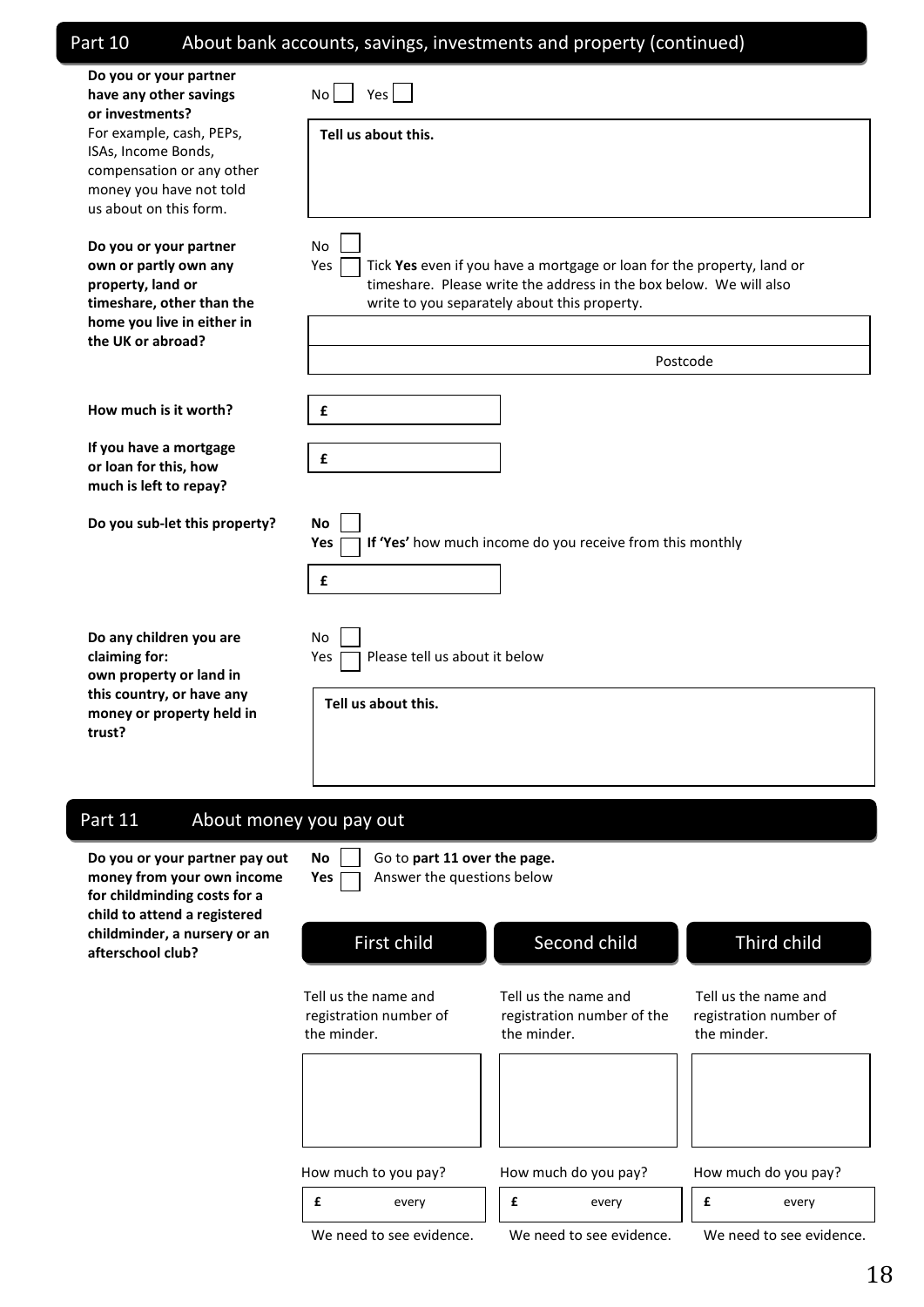## **Do you or your partner have any other savings**  $N_0$  Yes **or investments?** For example, cash, PEPs, ISAs, Income Bonds, compensation or any other money you have not told us about on this form. **Do you or your partner** No **own or partly own any** *Yes* Tick **Yes** even if you have a mortgage or loan for the property, land or **property, land or timeshare.** Please write the address in the box below. We will also **timeshare, other than the** write to you separately about this property. **home you live in either in the UK or abroad? How much is it worth? If you have a mortgage or loan for this, how much is left to repay? Do you sub-let this property? No Yes**  $\Box$  If 'Yes' how much income do you receive from this monthly Part 10 About bank accounts, savings, investments and property (continued) **Tell us about this.** Postcode **£ £ £**

| Do any children you are                                          | No                            |
|------------------------------------------------------------------|-------------------------------|
| claiming for:                                                    | Please tell us about it below |
| own property or land in                                          | Yes                           |
| this country, or have any<br>money or property held in<br>trust? | Tell us about this.           |

## Part 11 About money you pay out

**Do you or your partner pay out No** Go to **part 11 over the page. money from your own income Yes Answer the questions below for childminding costs for a**  child to attend childminder, a **afterschool club?**

|  | . .<br>. .<br>. .<br>. . | . . |  |  |
|--|--------------------------|-----|--|--|
|  |                          |     |  |  |

| d a registered<br>a nursery or an<br>ub? | First child                                                   | Second child                                                      | Third child                                                   |
|------------------------------------------|---------------------------------------------------------------|-------------------------------------------------------------------|---------------------------------------------------------------|
|                                          | Tell us the name and<br>registration number of<br>the minder. | Tell us the name and<br>registration number of the<br>the minder. | Tell us the name and<br>registration number of<br>the minder. |
|                                          |                                                               |                                                                   |                                                               |
|                                          | How much to you pay?                                          | How much do you pay?                                              | How much do you pay?                                          |
|                                          | £<br>every                                                    | £<br>every                                                        | £<br>every                                                    |
|                                          | We need to see evidence.                                      | We need to see evidence.                                          | We need to see evidence.                                      |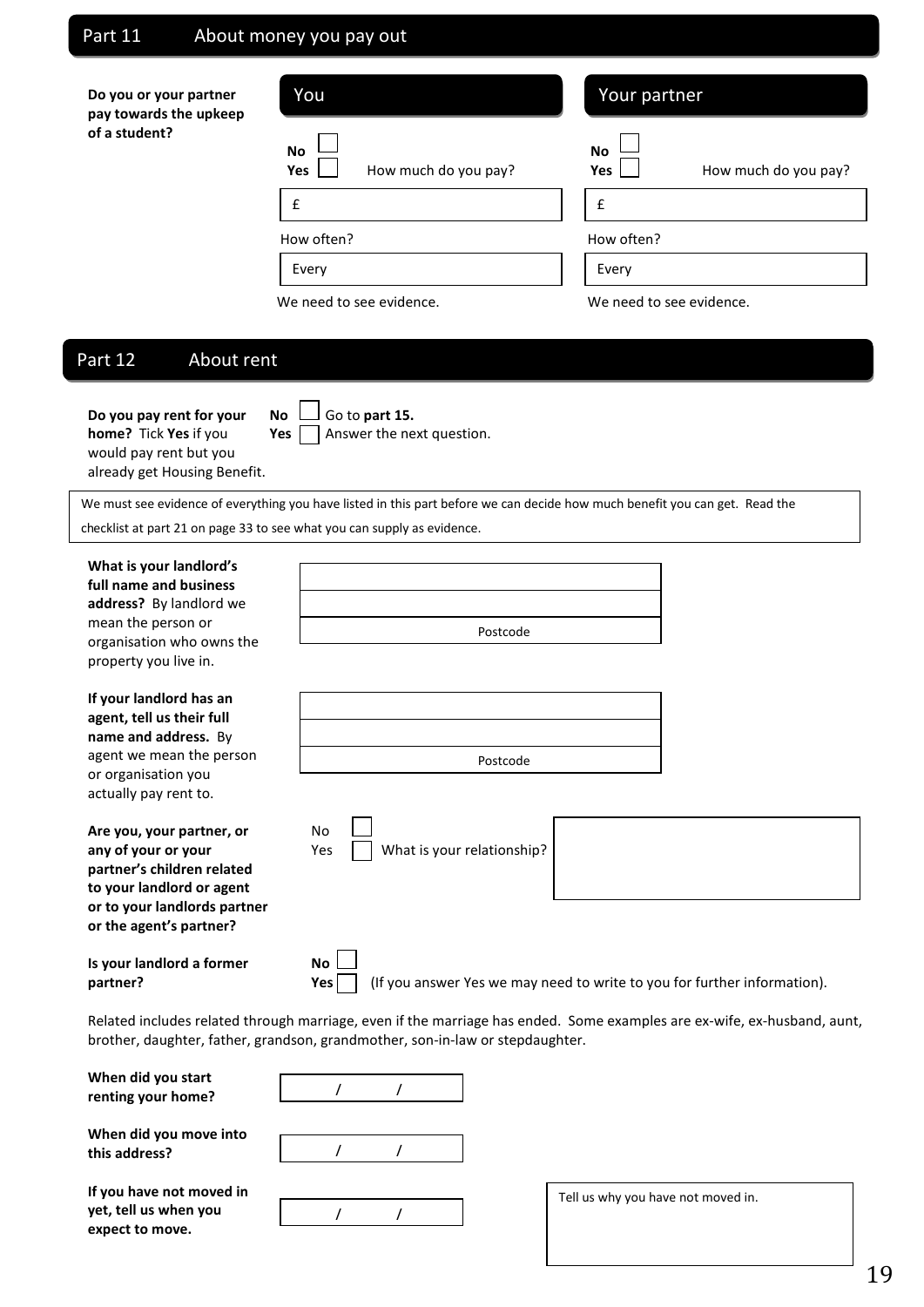## Part 11 About money you pay out

| Do you or your partner<br>pay towards the upkeep | You                                             | Your partner                                    |
|--------------------------------------------------|-------------------------------------------------|-------------------------------------------------|
| of a student?                                    | <b>No</b><br>How much do you pay?<br><b>Yes</b> | <b>No</b><br>How much do you pay?<br><b>Yes</b> |
|                                                  | £                                               | £                                               |
|                                                  | How often?                                      | How often?                                      |
|                                                  | Every                                           | Every                                           |
|                                                  | We need to see evidence.                        | We need to see evidence.                        |

## Part 12 About rent

**Do you pay rent for your** No  $\Box$  Go to part 15. **home?** Tick **Yes** if you **Yes**  $\Box$  Answer the next question. would pay rent but you already get Housing Benefit.

|  |  |  | $\Box$ Go to part 1 |  |
|--|--|--|---------------------|--|
|--|--|--|---------------------|--|

We must see evidence of everything you have listed in this part before we can decide how much benefit you can get. Read the checklist at part 21 on page 33 to see what you can supply as evidence.

**What is your landlord's full name and business address?** By landlord we mean the person or organisation who owns the property you live in.

**If your landlord has an agent, tell us their full name and address.** By agent we mean the person or organisation you actually pay rent to.

| Are you, your partner, or    | No |
|------------------------------|----|
| any of your or your          | Υе |
| partner's children related   |    |
| to your landlord or agent    |    |
| or to your landlords partner |    |
| or the agent's partner?      |    |

**Is your landlord a former No**

| Postcode |  |
|----------|--|
|          |  |





**partner? Yes** (If you answer Yes we may need to write to you for further information).

Related includes related through marriage, even if the marriage has ended. Some examples are ex-wife, ex-husband, aunt, brother, daughter, father, grandson, grandmother, son-in-law or stepdaughter.

**When did you start renting your home?**

**When did you move into this address?**

**If you have not moved in yet, tell us when you expect to move.**

/ /

/ /

Tell us why you have not moved in.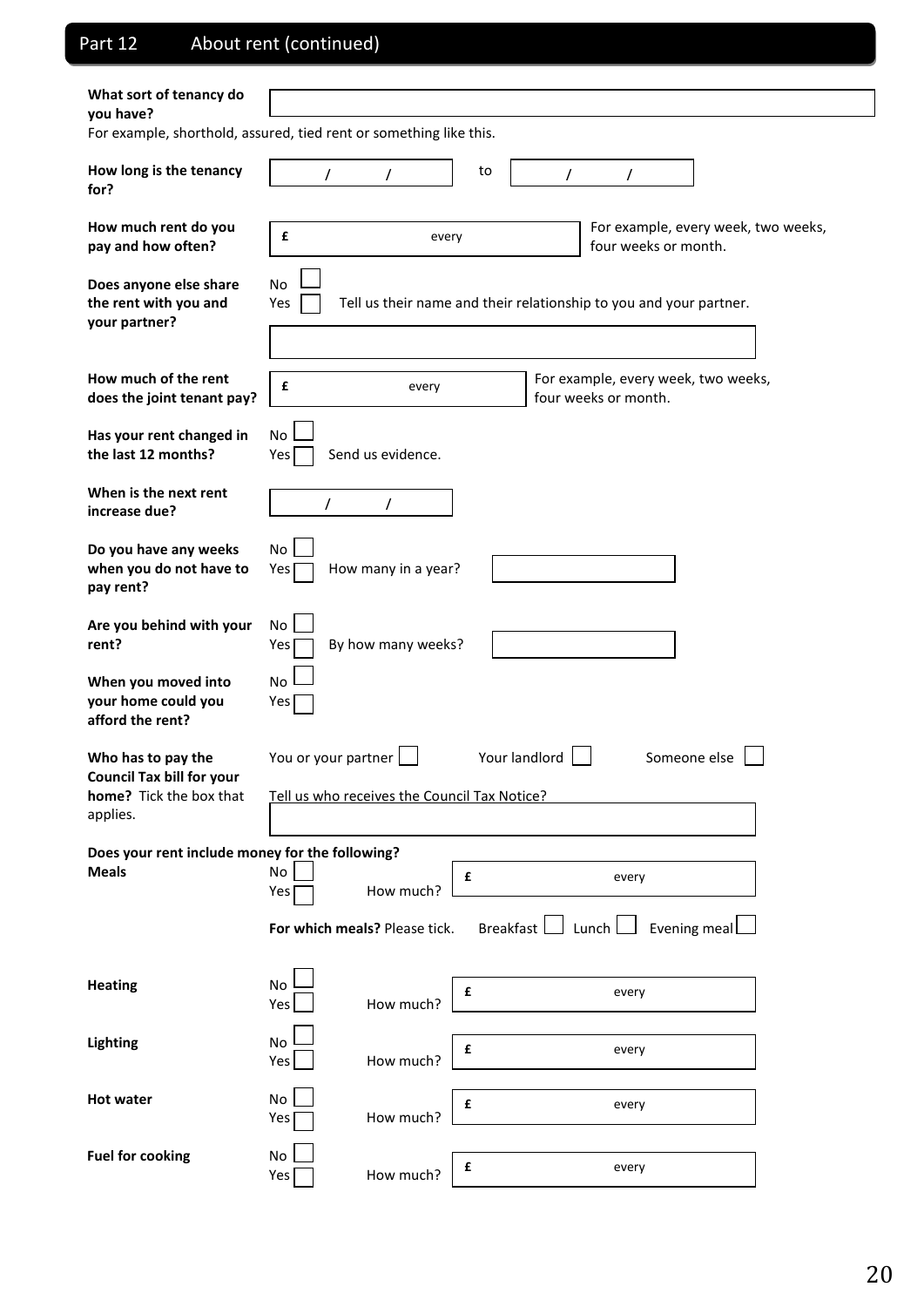# Part 12 About rent (continued)

| What sort of tenancy do<br>you have?                               |                                              |                     |                               |           |               |                                             |                                                                    |                                     |  |
|--------------------------------------------------------------------|----------------------------------------------|---------------------|-------------------------------|-----------|---------------|---------------------------------------------|--------------------------------------------------------------------|-------------------------------------|--|
| For example, shorthold, assured, tied rent or something like this. |                                              |                     |                               |           |               |                                             |                                                                    |                                     |  |
|                                                                    |                                              |                     |                               |           |               |                                             |                                                                    |                                     |  |
| How long is the tenancy<br>for?                                    |                                              | T                   | T                             | to        | T             |                                             | $\prime$                                                           |                                     |  |
|                                                                    |                                              |                     |                               |           |               |                                             |                                                                    |                                     |  |
| How much rent do you                                               | £                                            |                     | every                         |           |               |                                             |                                                                    | For example, every week, two weeks, |  |
| pay and how often?                                                 |                                              |                     |                               |           |               |                                             | four weeks or month.                                               |                                     |  |
| Does anyone else share                                             | No                                           |                     |                               |           |               |                                             |                                                                    |                                     |  |
| the rent with you and                                              | Yes                                          |                     |                               |           |               |                                             | Tell us their name and their relationship to you and your partner. |                                     |  |
| your partner?                                                      |                                              |                     |                               |           |               |                                             |                                                                    |                                     |  |
|                                                                    |                                              |                     |                               |           |               |                                             |                                                                    |                                     |  |
| How much of the rent                                               | £                                            |                     | every                         |           |               |                                             | For example, every week, two weeks,                                |                                     |  |
| does the joint tenant pay?                                         |                                              |                     |                               |           |               |                                             | four weeks or month.                                               |                                     |  |
| Has your rent changed in                                           | No                                           |                     |                               |           |               |                                             |                                                                    |                                     |  |
| the last 12 months?                                                | Yes                                          |                     | Send us evidence.             |           |               |                                             |                                                                    |                                     |  |
| When is the next rent                                              |                                              |                     |                               |           |               |                                             |                                                                    |                                     |  |
| increase due?                                                      |                                              | T                   | $\prime$                      |           |               |                                             |                                                                    |                                     |  |
| Do you have any weeks                                              | No                                           |                     |                               |           |               |                                             |                                                                    |                                     |  |
| when you do not have to                                            | How many in a year?<br>Yes                   |                     |                               |           |               |                                             |                                                                    |                                     |  |
| pay rent?                                                          |                                              |                     |                               |           |               |                                             |                                                                    |                                     |  |
| Are you behind with your                                           | No                                           |                     |                               |           |               |                                             |                                                                    |                                     |  |
| rent?                                                              | Yes                                          |                     | By how many weeks?            |           |               |                                             |                                                                    |                                     |  |
|                                                                    |                                              |                     |                               |           |               |                                             |                                                                    |                                     |  |
| When you moved into<br>your home could you                         | No<br>Yes                                    |                     |                               |           |               |                                             |                                                                    |                                     |  |
| afford the rent?                                                   |                                              |                     |                               |           |               |                                             |                                                                    |                                     |  |
| Who has to pay the                                                 |                                              |                     |                               |           | Your landlord |                                             |                                                                    |                                     |  |
| <b>Council Tax bill for your</b>                                   |                                              | You or your partner |                               |           |               |                                             |                                                                    | Someone else                        |  |
| home? Tick the box that                                            | Tell us who receives the Council Tax Notice? |                     |                               |           |               |                                             |                                                                    |                                     |  |
| applies.                                                           |                                              |                     |                               |           |               |                                             |                                                                    |                                     |  |
| Does your rent include money for the following?                    |                                              |                     |                               |           |               |                                             |                                                                    |                                     |  |
| <b>Meals</b>                                                       | No                                           |                     |                               | £         |               |                                             | every                                                              |                                     |  |
|                                                                    | Yes                                          |                     | How much?                     |           |               |                                             |                                                                    |                                     |  |
|                                                                    |                                              |                     | For which meals? Please tick. | Breakfast |               | $\mathsf{\rfloor}$ Lunch $\mathsf{\rfloor}$ |                                                                    | Evening meal                        |  |
|                                                                    |                                              |                     |                               |           |               |                                             |                                                                    |                                     |  |
| <b>Heating</b>                                                     | No                                           |                     |                               |           |               |                                             |                                                                    |                                     |  |
|                                                                    | Yes                                          |                     | How much?                     | £         |               |                                             | every                                                              |                                     |  |
|                                                                    |                                              |                     |                               |           |               |                                             |                                                                    |                                     |  |
| Lighting                                                           | No<br>Yes                                    |                     | How much?                     | £         |               |                                             | every                                                              |                                     |  |
|                                                                    |                                              |                     |                               |           |               |                                             |                                                                    |                                     |  |
| <b>Hot water</b>                                                   | No<br>Yes                                    |                     | How much?                     | £         |               |                                             | every                                                              |                                     |  |
|                                                                    |                                              |                     |                               |           |               |                                             |                                                                    |                                     |  |
| <b>Fuel for cooking</b>                                            | No                                           |                     |                               | £         |               |                                             | every                                                              |                                     |  |
|                                                                    | Yes                                          |                     | How much?                     |           |               |                                             |                                                                    |                                     |  |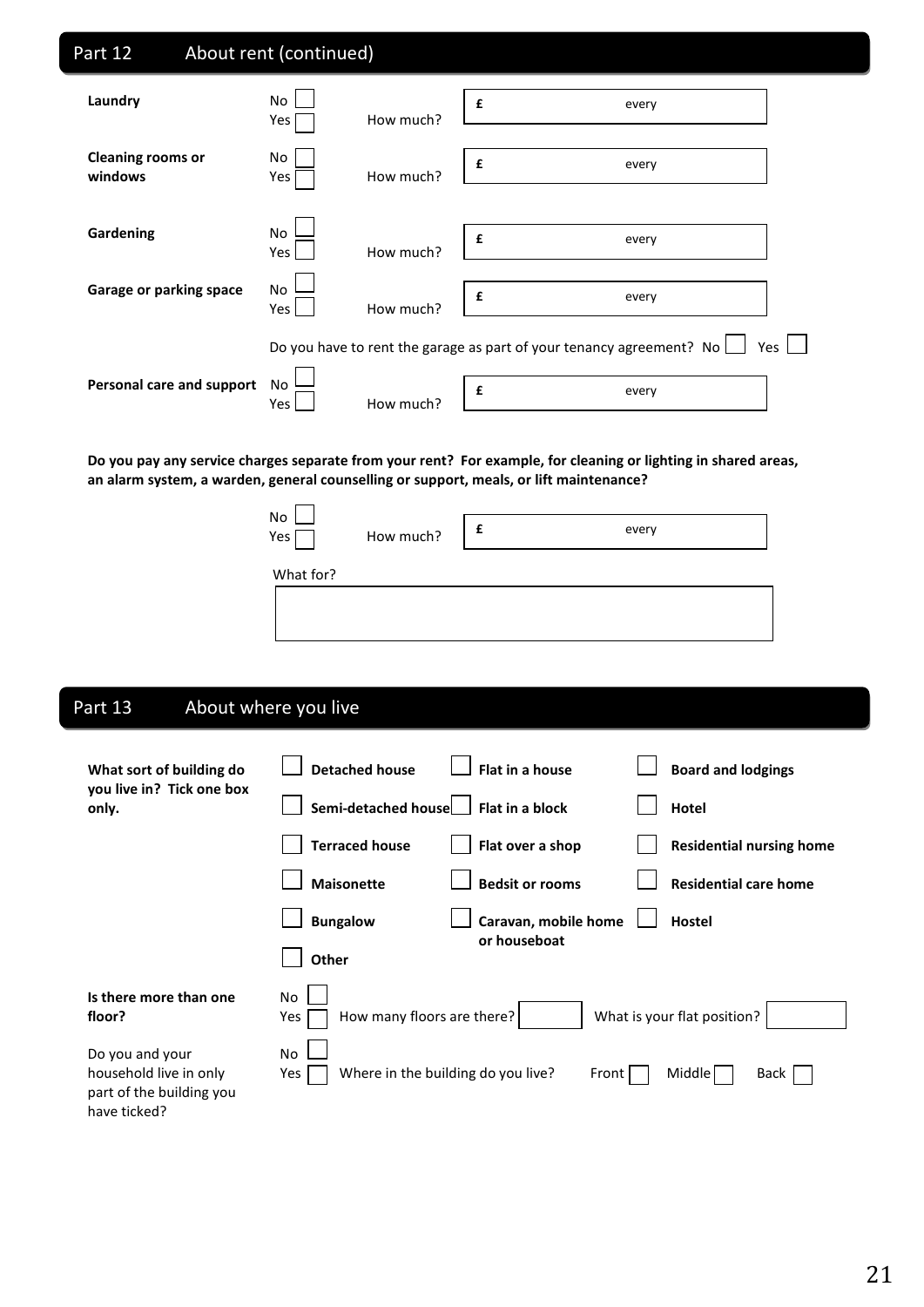| Part 12                             | About rent (continued)        |                    |                                                                             |  |
|-------------------------------------|-------------------------------|--------------------|-----------------------------------------------------------------------------|--|
| Laundry                             | No<br>How much?<br>Yes        | £                  | every                                                                       |  |
| <b>Cleaning rooms or</b><br>windows | No<br>How much?<br>Yes        | £                  | every                                                                       |  |
| Gardening                           | No<br>How much?<br>Yes        | $\pmb{\mathsf{f}}$ | every                                                                       |  |
| Garage or parking space             | <b>No</b><br>How much?<br>Yes | £                  | every                                                                       |  |
|                                     |                               |                    | Do you have to rent the garage as part of your tenancy agreement? No<br>Yes |  |
| Personal care and support           | No<br>How much?<br>Yes        | £                  | every                                                                       |  |

**Do you pay any service charges separate from your rent? For example, for cleaning or lighting in shared areas, an alarm system, a warden, general counselling or support, meals, or lift maintenance?**

| No<br>Yes | How much? | every |  |
|-----------|-----------|-------|--|
| What for? |           |       |  |
|           |           |       |  |

# Part 13 About where you live

| What sort of building do<br>you live in? Tick one box<br>only.                        | <b>Detached house</b><br>Flat in a house<br><b>Board and lodgings</b>         |
|---------------------------------------------------------------------------------------|-------------------------------------------------------------------------------|
|                                                                                       | Semi-detached house<br>Flat in a block<br>Hotel                               |
|                                                                                       | <b>Terraced house</b><br>Flat over a shop<br><b>Residential nursing home</b>  |
|                                                                                       | <b>Residential care home</b><br><b>Maisonette</b><br><b>Bedsit or rooms</b>   |
|                                                                                       | Caravan, mobile home<br><b>Bungalow</b><br><b>Hostel</b>                      |
|                                                                                       | or houseboat<br>Other                                                         |
| Is there more than one<br>floor?                                                      | No<br>What is your flat position?<br>How many floors are there?<br>Yes        |
| Do you and your<br>household live in only<br>part of the building you<br>have ticked? | No.<br>Where in the building do you live?<br>Middle<br>Yes<br>Front  <br>Back |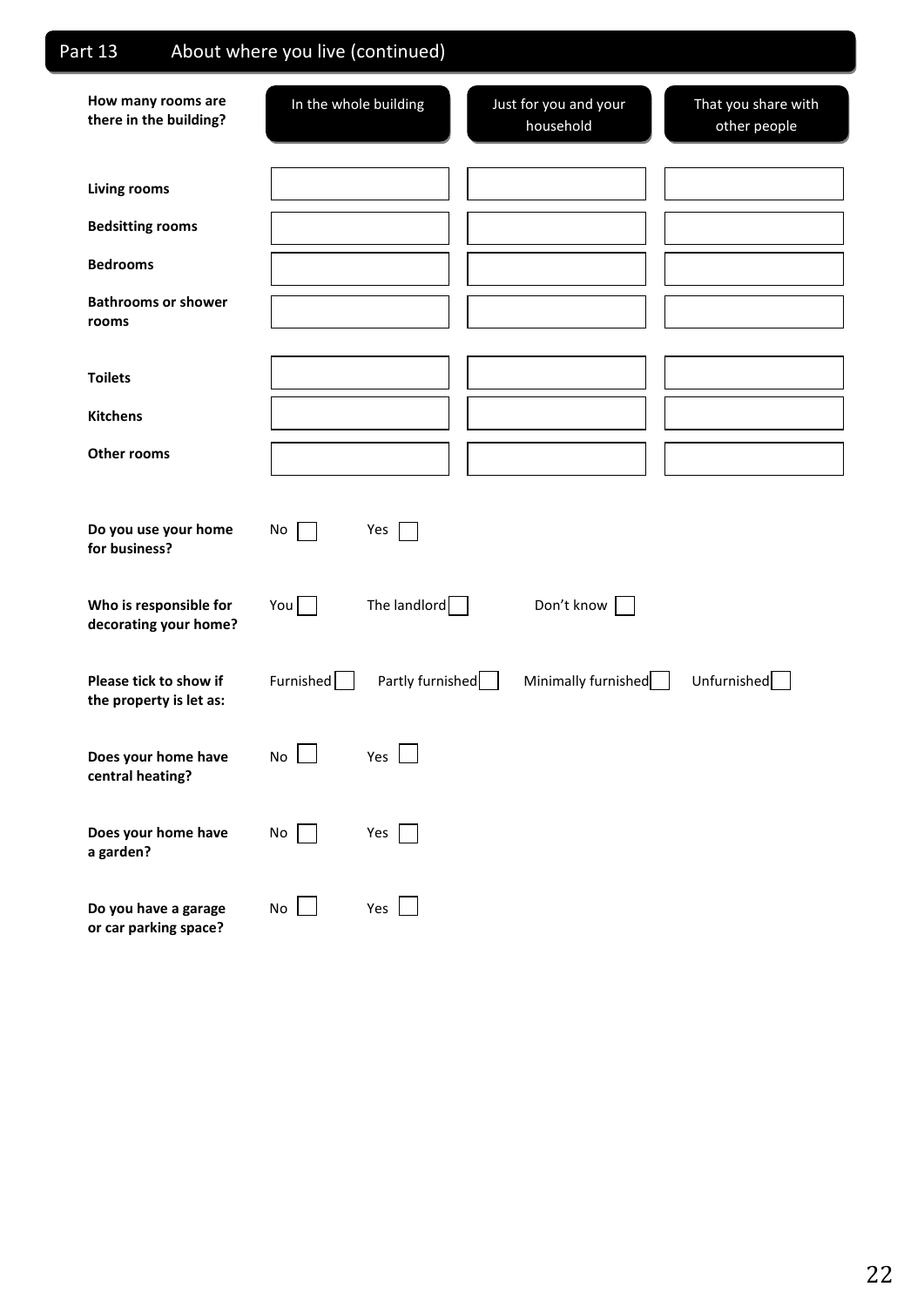| Part 13                                           | About where you live (continued) |                                    |                                     |
|---------------------------------------------------|----------------------------------|------------------------------------|-------------------------------------|
| How many rooms are<br>there in the building?      | In the whole building            | Just for you and your<br>household | That you share with<br>other people |
| <b>Living rooms</b>                               |                                  |                                    |                                     |
| <b>Bedsitting rooms</b>                           |                                  |                                    |                                     |
| <b>Bedrooms</b>                                   |                                  |                                    |                                     |
| <b>Bathrooms or shower</b><br>rooms               |                                  |                                    |                                     |
| <b>Toilets</b>                                    |                                  |                                    |                                     |
| <b>Kitchens</b>                                   |                                  |                                    |                                     |
| <b>Other rooms</b>                                |                                  |                                    |                                     |
| Do you use your home<br>for business?             | No<br>Yes                        |                                    |                                     |
| Who is responsible for<br>decorating your home?   | The landlord<br>You              | Don't know                         |                                     |
| Please tick to show if<br>the property is let as: | Furnished<br>Partly furnished    | Minimally furnished                | Unfurnished                         |
| Does your home have<br>central heating?           | No<br>Yes                        |                                    |                                     |
| Does your home have<br>a garden?                  | No<br>Yes                        |                                    |                                     |
| Do you have a garage<br>or car parking space?     | No<br>Yes<br>$\mathbf{I}$        |                                    |                                     |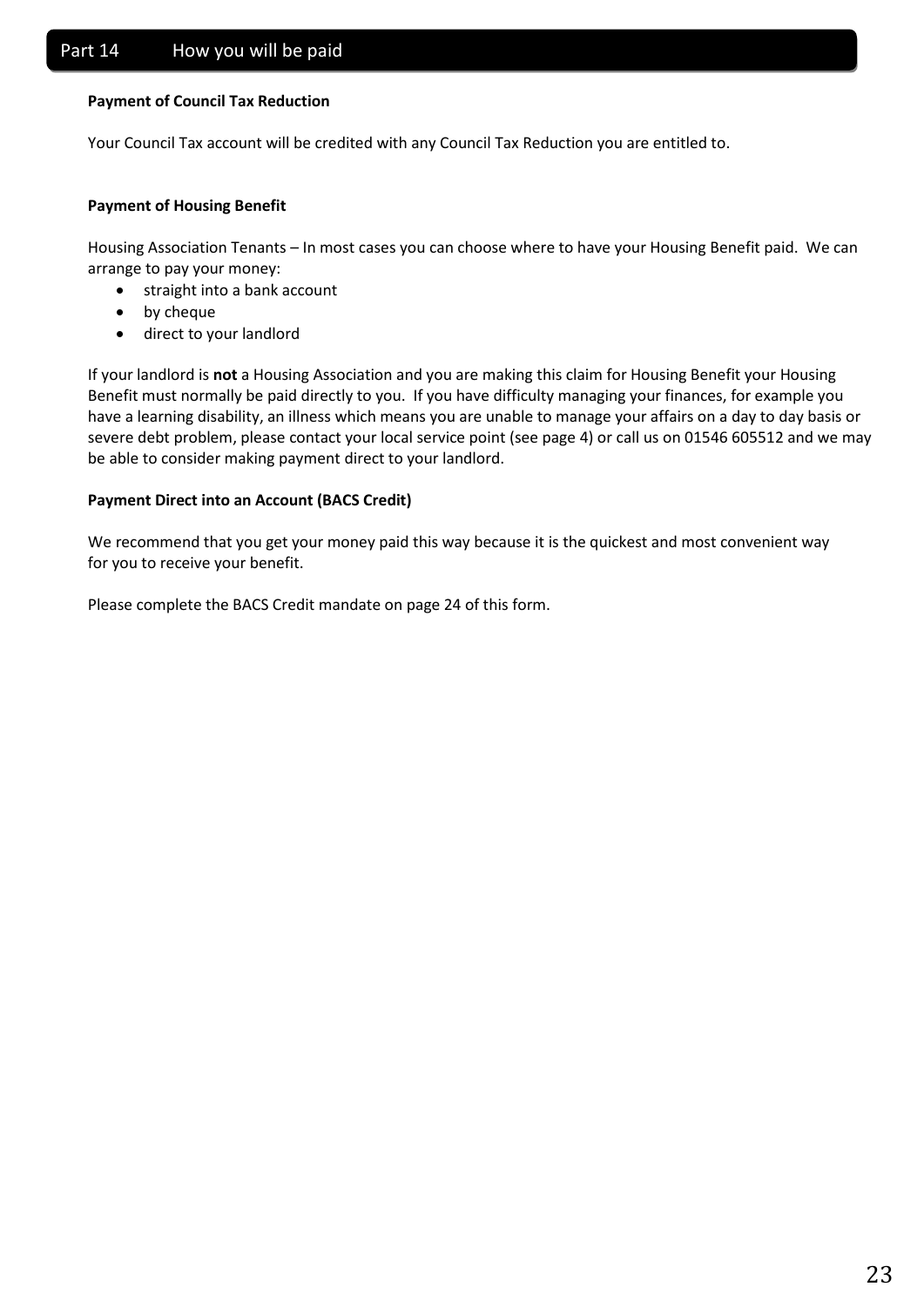## **Payment of Council Tax Reduction**

Your Council Tax account will be credited with any Council Tax Reduction you are entitled to.

## **Payment of Housing Benefit**

Housing Association Tenants – In most cases you can choose where to have your Housing Benefit paid. We can arrange to pay your money:

- straight into a bank account
- by cheque
- direct to your landlord

If your landlord is **not** a Housing Association and you are making this claim for Housing Benefit your Housing Benefit must normally be paid directly to you. If you have difficulty managing your finances, for example you have a learning disability, an illness which means you are unable to manage your affairs on a day to day basis or severe debt problem, please contact your local service point (see page 4) or call us on 01546 605512 and we may be able to consider making payment direct to your landlord.

## **Payment Direct into an Account (BACS Credit)**

We recommend that you get your money paid this way because it is the quickest and most convenient way for you to receive your benefit.

Please complete the BACS Credit mandate on page 24 of this form.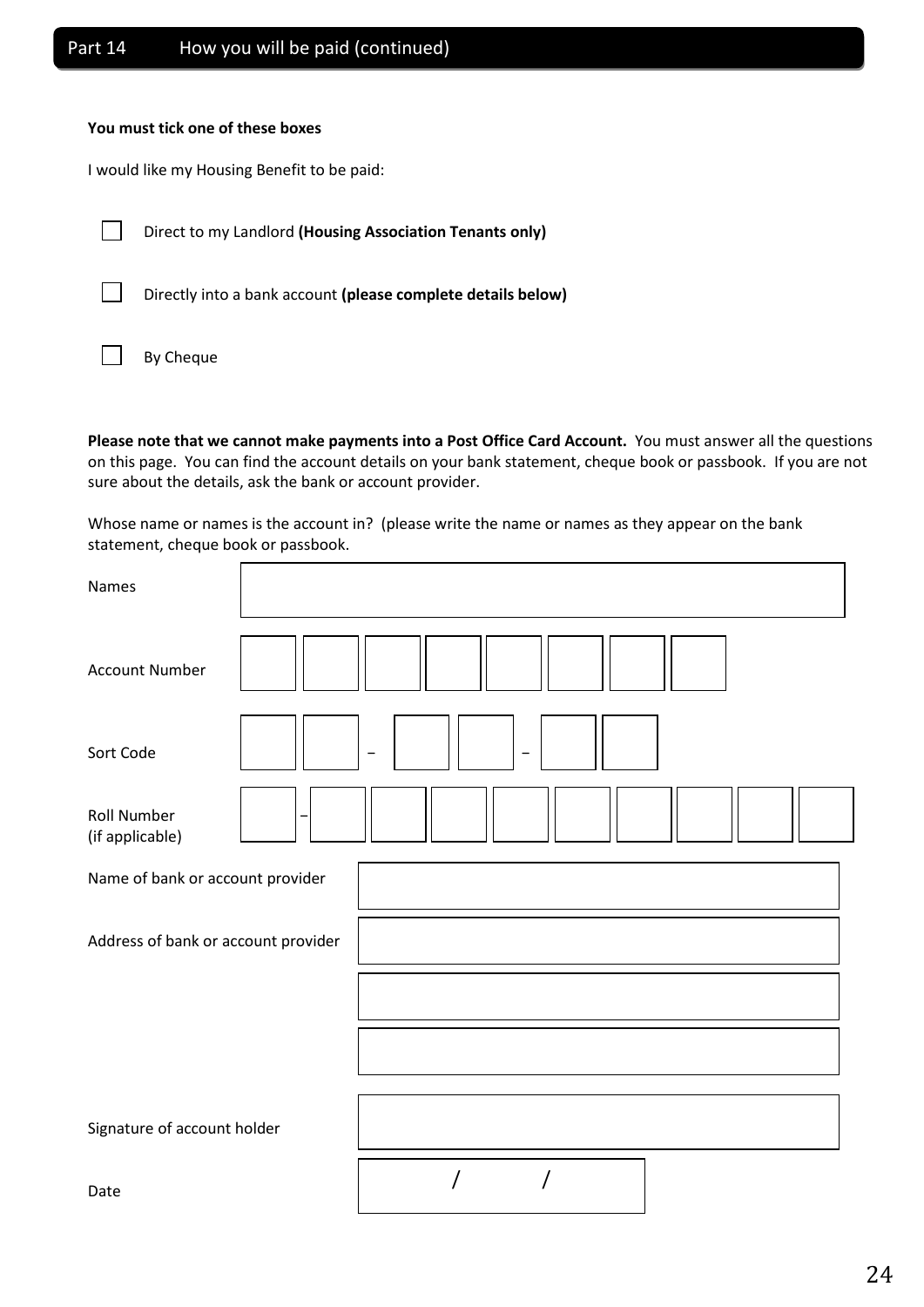## **You must tick one of these boxes**

I would like my Housing Benefit to be paid:

 $\Box$ Direct to my Landlord **(Housing Association Tenants only)**

 $\overline{\phantom{0}}$ 

Directly into a bank account **(please complete details below)**

|  | By Cheque |
|--|-----------|
|--|-----------|

**Please note that we cannot make payments into a Post Office Card Account.** You must answer all the questions on this page. You can find the account details on your bank statement, cheque book or passbook. If you are not sure about the details, ask the bank or account provider.

Whose name or names is the account in? (please write the name or names as they appear on the bank statement, cheque book or passbook.

| Names                                 |                          |                          |  |  |  |
|---------------------------------------|--------------------------|--------------------------|--|--|--|
| <b>Account Number</b>                 |                          |                          |  |  |  |
| Sort Code                             | $\overline{\phantom{0}}$ | $\overline{\phantom{m}}$ |  |  |  |
| <b>Roll Number</b><br>(if applicable) |                          |                          |  |  |  |
| Name of bank or account provider      |                          |                          |  |  |  |
| Address of bank or account provider   |                          |                          |  |  |  |
|                                       |                          |                          |  |  |  |
|                                       |                          |                          |  |  |  |
| Signature of account holder           |                          |                          |  |  |  |
| Date                                  |                          |                          |  |  |  |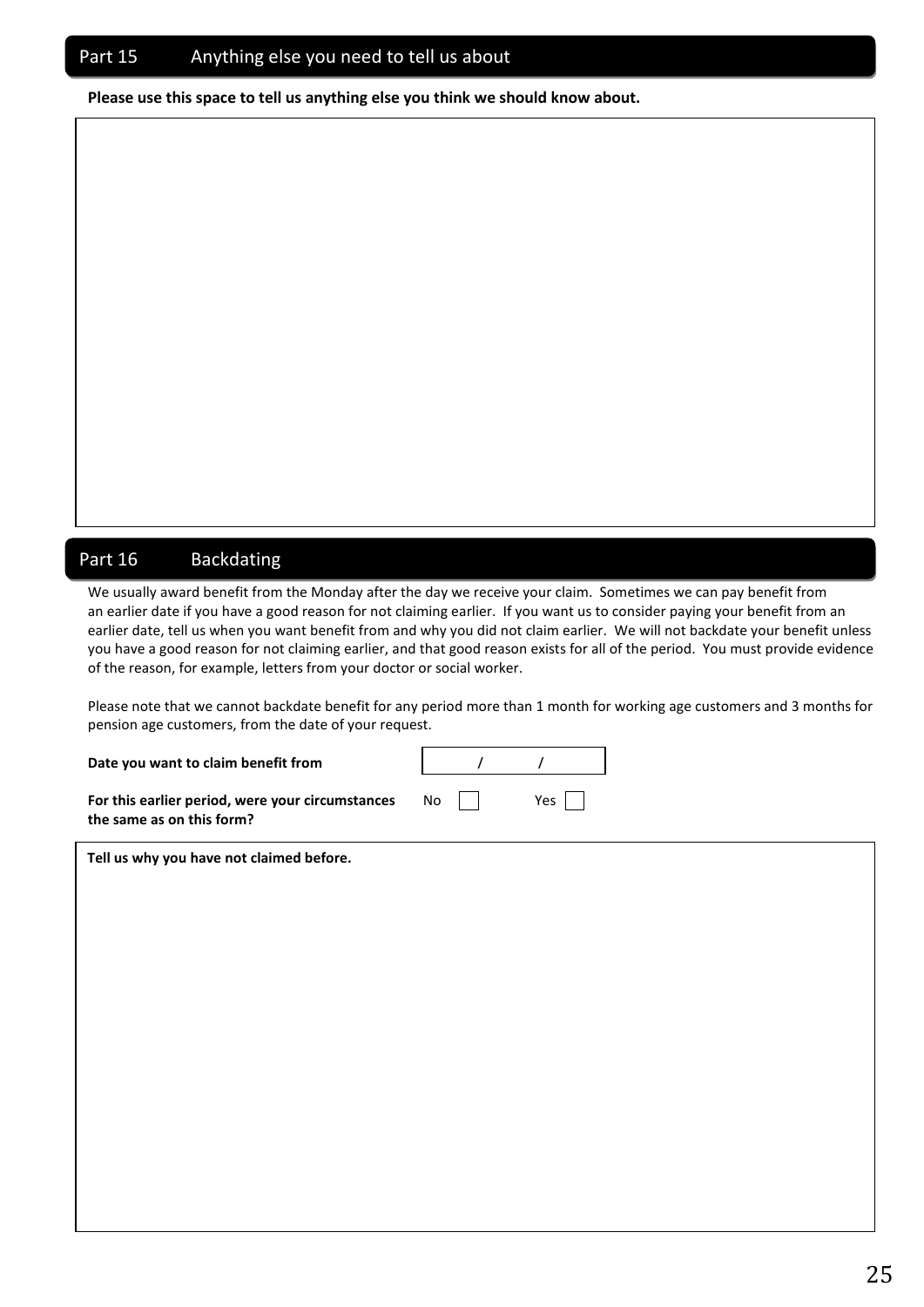**Please use this space to tell us anything else you think we should know about.**

## Part 16 Backdating

We usually award benefit from the Monday after the day we receive your claim. Sometimes we can pay benefit from an earlier date if you have a good reason for not claiming earlier. If you want us to consider paying your benefit from an earlier date, tell us when you want benefit from and why you did not claim earlier. We will not backdate your benefit unless you have a good reason for not claiming earlier, and that good reason exists for all of the period. You must provide evidence of the reason, for example, letters from your doctor or social worker.

Please note that we cannot backdate benefit for any period more than 1 month for working age customers and 3 months for pension age customers, from the date of your request.

/ /

**Date you want to claim benefit from**

| For this earlier period, were your circumstances | <b>No</b> | Yes |
|--------------------------------------------------|-----------|-----|
| the same as on this form?                        |           |     |

**Tell us why you have not claimed before.**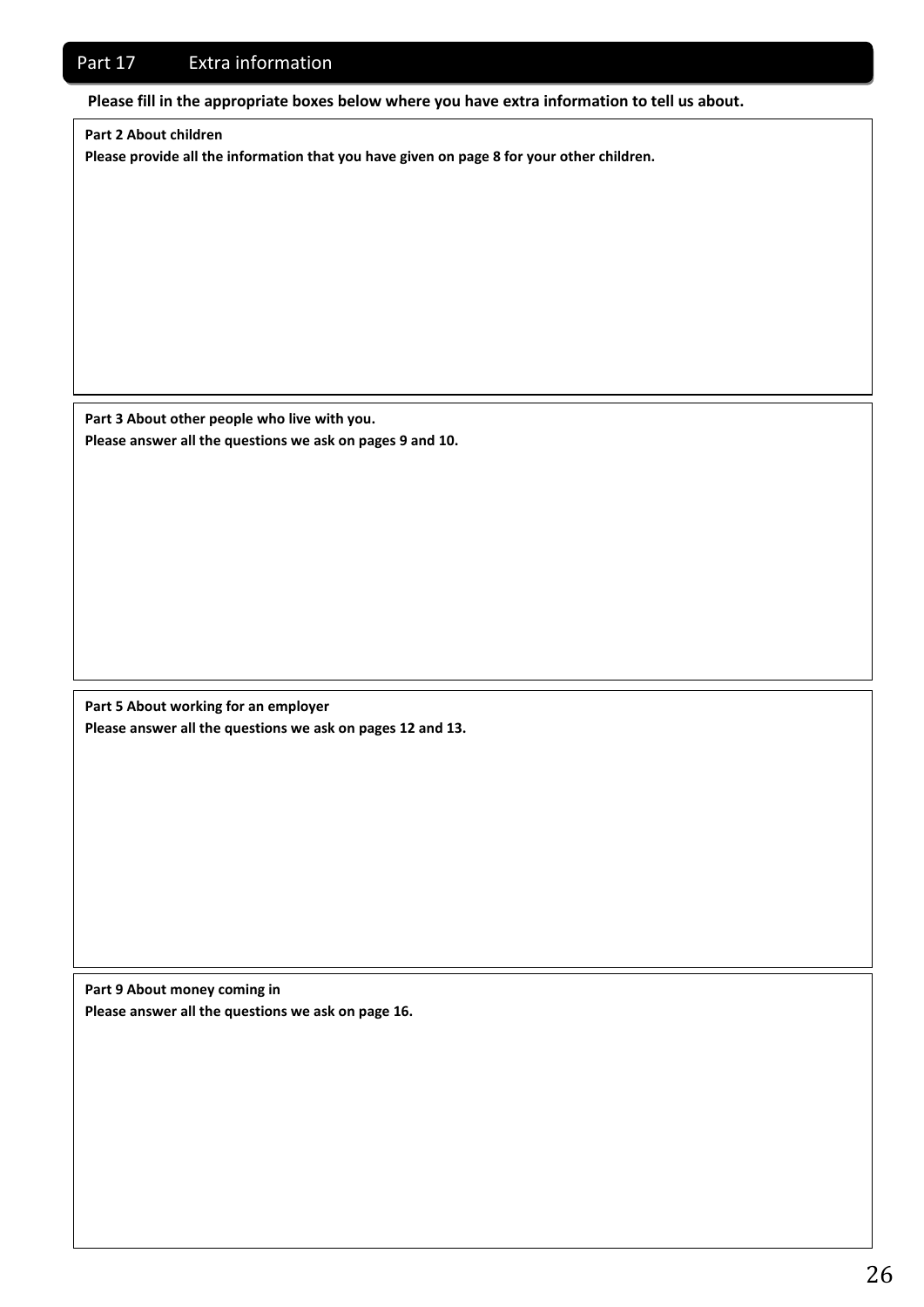## Part 17 Extra information

**Please fill in the appropriate boxes below where you have extra information to tell us about.**

**Part 2 About children**

**Please provide all the information that you have given on page 8 for your other children.**

**Part 3 About other people who live with you. Please answer all the questions we ask on pages 9 and 10.**

**Part 5 About working for an employer Please answer all the questions we ask on pages 12 and 13.** 

**Part 9 About money coming in Please answer all the questions we ask on page 16.**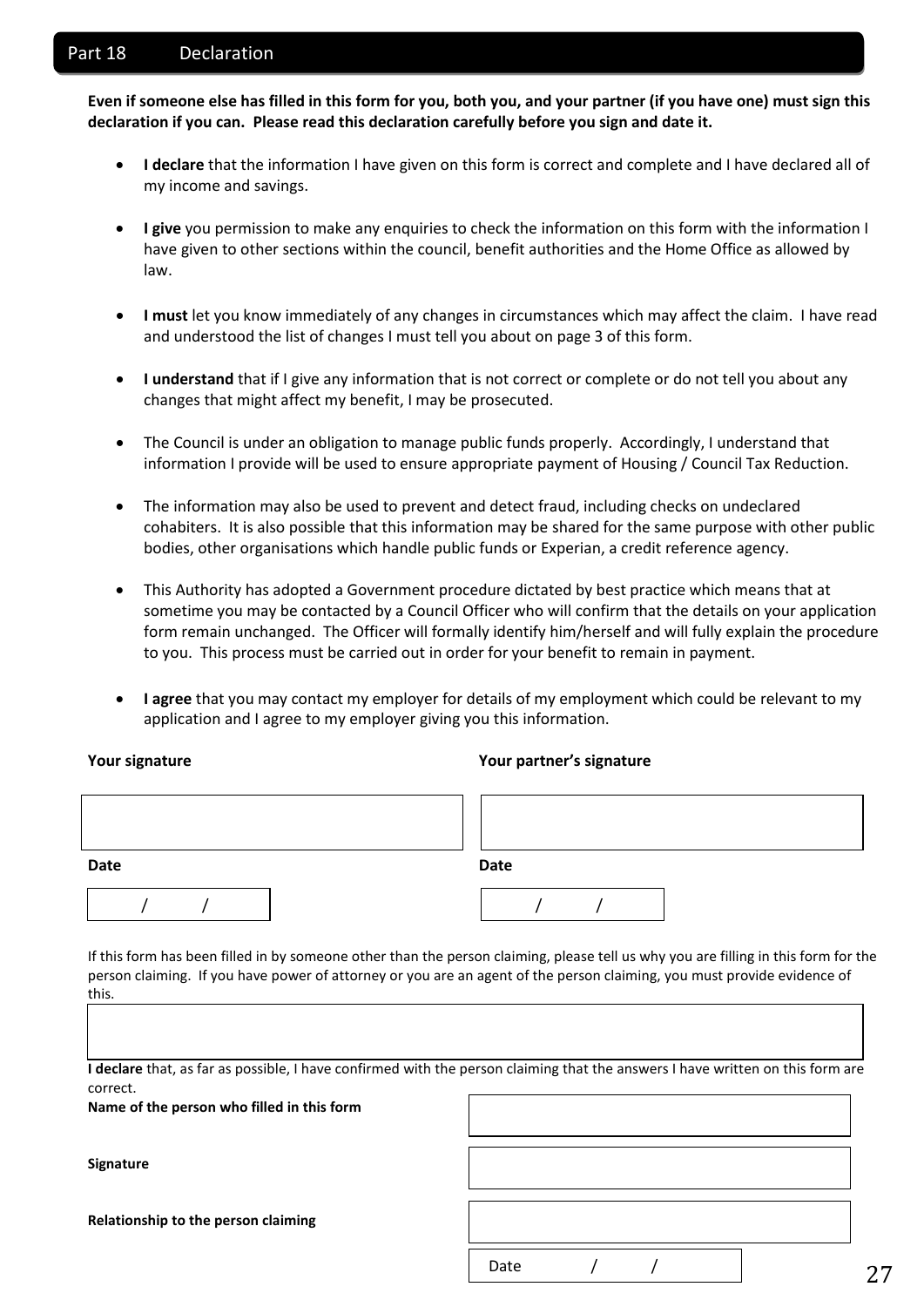## Part 18 Declaration

**Even if someone else has filled in this form for you, both you, and your partner (if you have one) must sign this declaration if you can. Please read this declaration carefully before you sign and date it.**

- **I declare** that the information I have given on this form is correct and complete and I have declared all of my income and savings.
- **I give** you permission to make any enquiries to check the information on this form with the information I have given to other sections within the council, benefit authorities and the Home Office as allowed by law.
- **I must** let you know immediately of any changes in circumstances which may affect the claim. I have read and understood the list of changes I must tell you about on page 3 of this form.
- **I understand** that if I give any information that is not correct or complete or do not tell you about any changes that might affect my benefit, I may be prosecuted.
- The Council is under an obligation to manage public funds properly. Accordingly, I understand that information I provide will be used to ensure appropriate payment of Housing / Council Tax Reduction.
- The information may also be used to prevent and detect fraud, including checks on undeclared cohabiters. It is also possible that this information may be shared for the same purpose with other public bodies, other organisations which handle public funds or Experian, a credit reference agency.
- This Authority has adopted a Government procedure dictated by best practice which means that at sometime you may be contacted by a Council Officer who will confirm that the details on your application form remain unchanged. The Officer will formally identify him/herself and will fully explain the procedure to you. This process must be carried out in order for your benefit to remain in payment.
- **I agree** that you may contact my employer for details of my employment which could be relevant to my application and I agree to my employer giving you this information.

## **Your signature Your partner's signature**

| <b>Date</b> | <b>Date</b> |
|-------------|-------------|
|             |             |

If this form has been filled in by someone other than the person claiming, please tell us why you are filling in this form for the person claiming. If you have power of attorney or you are an agent of the person claiming, you must provide evidence of this.

**I declare** that, as far as possible, I have confirmed with the person claiming that the answers I have written on this form are correct.

**Name of the person who filled in this form**

**Signature**

| ם דבו<br>- - - |  |
|----------------|--|

27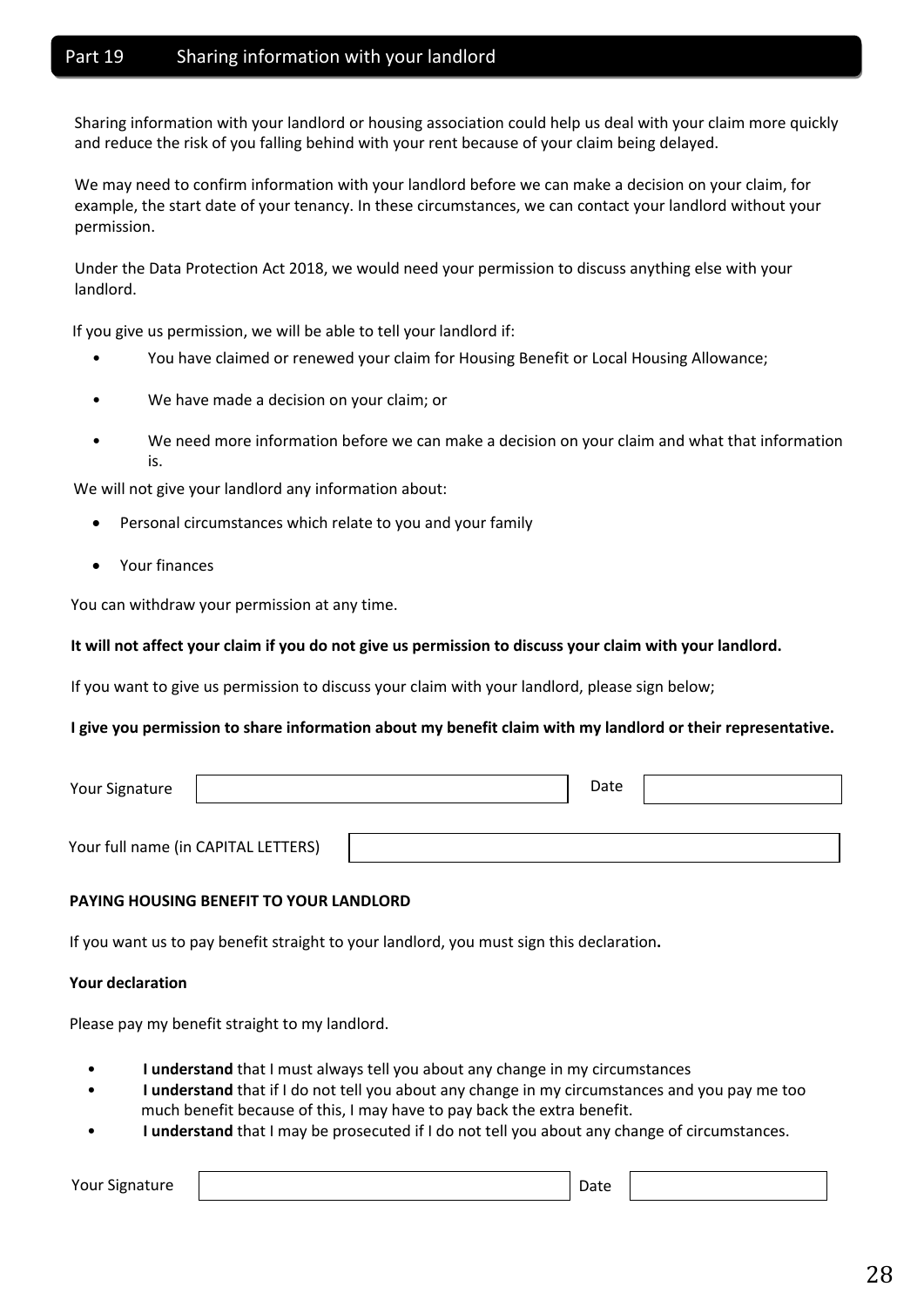## Part 19 Sharing information with your landlord

Sharing information with your landlord or housing association could help us deal with your claim more quickly and reduce the risk of you falling behind with your rent because of your claim being delayed.

We may need to confirm information with your landlord before we can make a decision on your claim, for example, the start date of your tenancy. In these circumstances, we can contact your landlord without your permission.

Under the Data Protection Act 2018, we would need your permission to discuss anything else with your landlord.

If you give us permission, we will be able to tell your landlord if:

- You have claimed or renewed your claim for Housing Benefit or Local Housing Allowance;
- We have made a decision on your claim; or
- We need more information before we can make a decision on your claim and what that information is.

We will not give your landlord any information about:

- Personal circumstances which relate to you and your family
- Your finances

You can withdraw your permission at any time.

## It will not affect your claim if you do not give us permission to discuss your claim with your landlord.

If you want to give us permission to discuss your claim with your landlord, please sign below;

## I give you permission to share information about my benefit claim with my landlord or their representative.

| Your Signature |                                     | Date |  |
|----------------|-------------------------------------|------|--|
|                | Your full name (in CAPITAL LETTERS) |      |  |
|                |                                     |      |  |

## **PAYING HOUSING BENEFIT TO YOUR LANDLORD**

If you want us to pay benefit straight to your landlord, you must sign this declaration**.**

## **Your declaration**

Please pay my benefit straight to my landlord.

- **I understand** that I must always tell you about any change in my circumstances
- **I understand** that if I do not tell you about any change in my circumstances and you pay me too much benefit because of this, I may have to pay back the extra benefit.
- **I understand** that I may be prosecuted if I do not tell you about any change of circumstances.

Your Signature

Date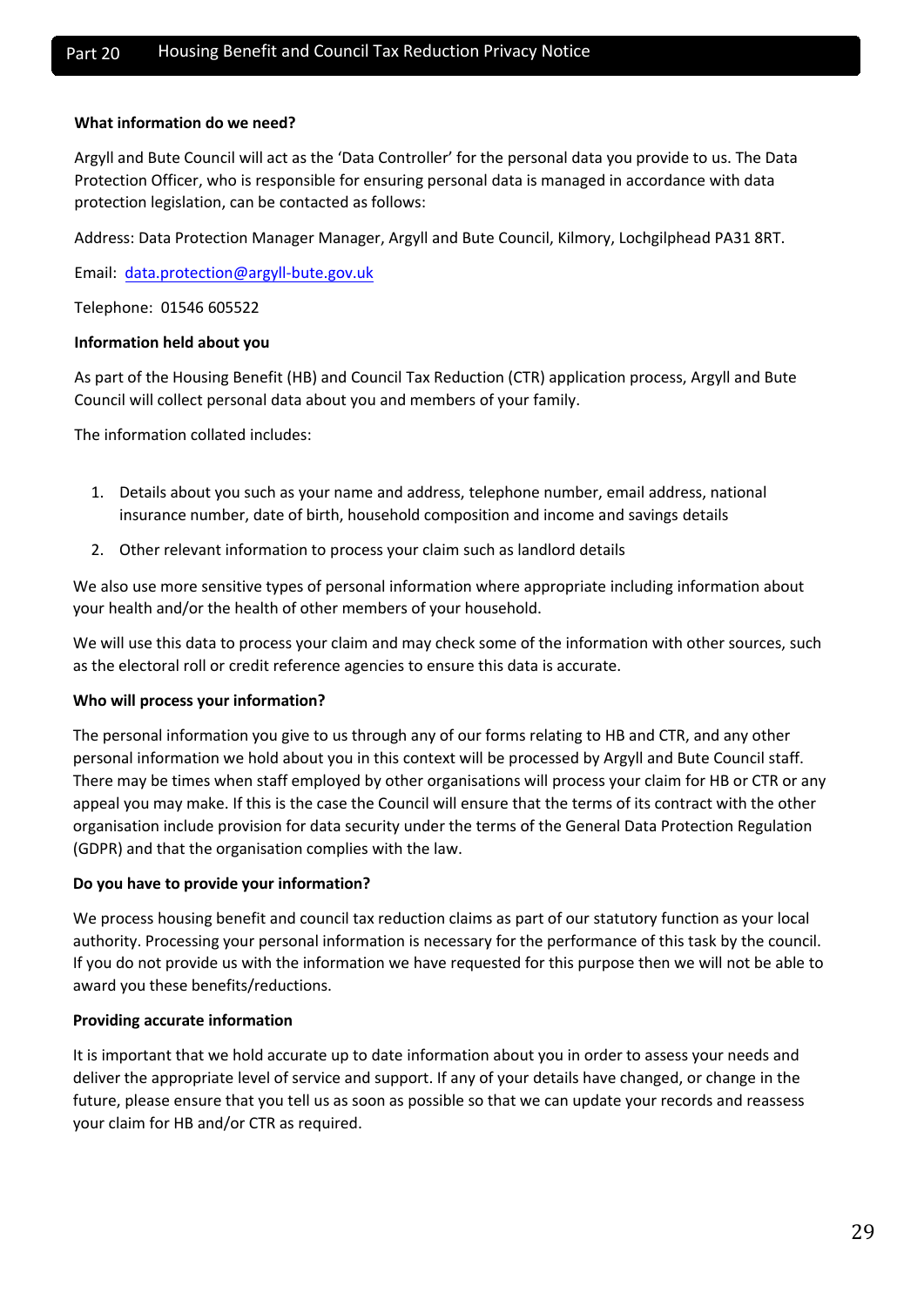#### **What information do we need?**

Argyll and Bute Council will act as the 'Data Controller' for the personal data you provide to us. The Data Protection Officer, who is responsible for ensuring personal data is managed in accordance with data protection legislation, can be contacted as follows:

Address: Data Protection Manager Manager, Argyll and Bute Council, Kilmory, Lochgilphead PA31 8RT.

Email: data.protection@argyll-bute.gov.uk

Telephone: 01546 605522

#### **Informatio[n held about you](mailto:Iain.Jackson@argyll-bute.gov.uk)**

As part of the Housing Benefit (HB) and Council Tax Reduction (CTR) application process, Argyll and Bute Council will collect personal data about you and members of your family.

The information collated includes:

- 1. Details about you such as your name and address, telephone number, email address, national insurance number, date of birth, household composition and income and savings details
- 2. Other relevant information to process your claim such as landlord details

We also use more sensitive types of personal information where appropriate including information about your health and/or the health of other members of your household.

We will use this data to process your claim and may check some of the information with other sources, such as the electoral roll or credit reference agencies to ensure this data is accurate.

#### **Who will process your information?**

The personal information you give to us through any of our forms relating to HB and CTR, and any other personal information we hold about you in this context will be processed by Argyll and Bute Council staff. There may be times when staff employed by other organisations will process your claim for HB or CTR or any appeal you may make. If this is the case the Council will ensure that the terms of its contract with the other organisation include provision for data security under the terms of the General Data Protection Regulation (GDPR) and that the organisation complies with the law.

## **Do you have to provide your information?**

We process housing benefit and council tax reduction claims as part of our statutory function as your local authority. Processing your personal information is necessary for the performance of this task by the council. If you do not provide us with the information we have requested for this purpose then we will not be able to award you these benefits/reductions.

#### **Providing accurate information**

It is important that we hold accurate up to date information about you in order to assess your needs and deliver the appropriate level of service and support. If any of your details have changed, or change in the future, please ensure that you tell us as soon as possible so that we can update your records and reassess your claim for HB and/or CTR as required.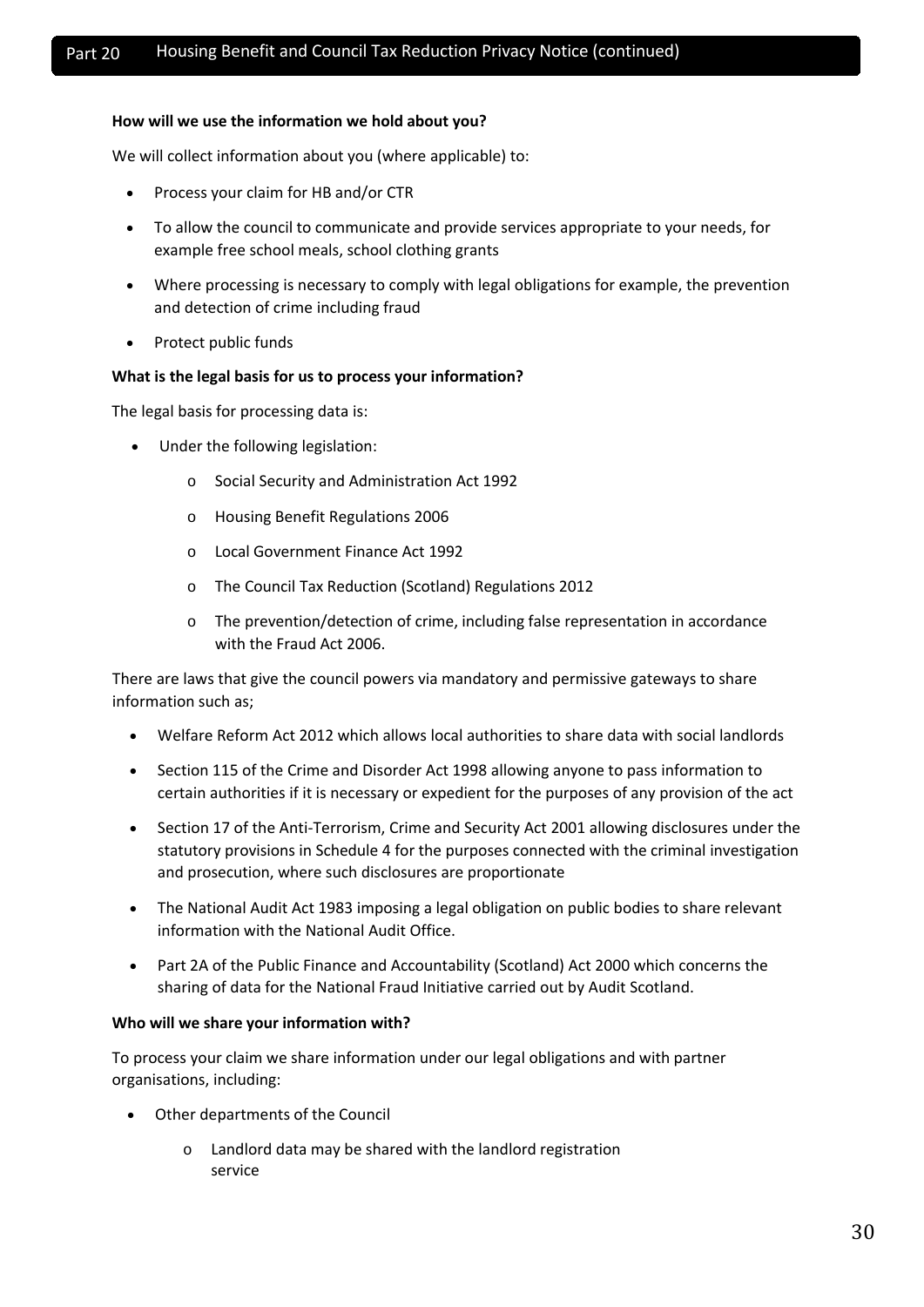## **How will we use the information we hold about you?**

We will collect information about you (where applicable) to:

- Process your claim for HB and/or CTR
- To allow the council to communicate and provide services appropriate to your needs, for example free school meals, school clothing grants
- Where processing is necessary to comply with legal obligations for example, the prevention and detection of crime including fraud
- Protect public funds

#### **What is the legal basis for us to process your information?**

The legal basis for processing data is:

- Under the following legislation:
	- o Social Security and Administration Act 1992
	- o Housing Benefit Regulations 2006
	- o Local Government Finance Act 1992
	- o The Council Tax Reduction (Scotland) Regulations 2012
	- o The prevention/detection of crime, including false representation in accordance with the Fraud Act 2006.

There are laws that give the council powers via mandatory and permissive gateways to share information such as;

- Welfare Reform Act 2012 which allows local authorities to share data with social landlords
- Section 115 of the Crime and Disorder Act 1998 allowing anyone to pass information to certain authorities if it is necessary or expedient for the purposes of any provision of the act
- Section 17 of the Anti-Terrorism, Crime and Security Act 2001 allowing disclosures under the statutory provisions in Schedule 4 for the purposes connected with the criminal investigation and prosecution, where such disclosures are proportionate
- The National Audit Act 1983 imposing a legal obligation on public bodies to share relevant information with the National Audit Office.
- Part 2A of the Public Finance and Accountability (Scotland) Act 2000 which concerns the sharing of data for the National Fraud Initiative carried out by Audit Scotland.

#### **Who will we share your information with?**

To process your claim we share information under our legal obligations and with partner organisations, including:

- Other departments of the Council
	- o Landlord data may be shared with the landlord registration service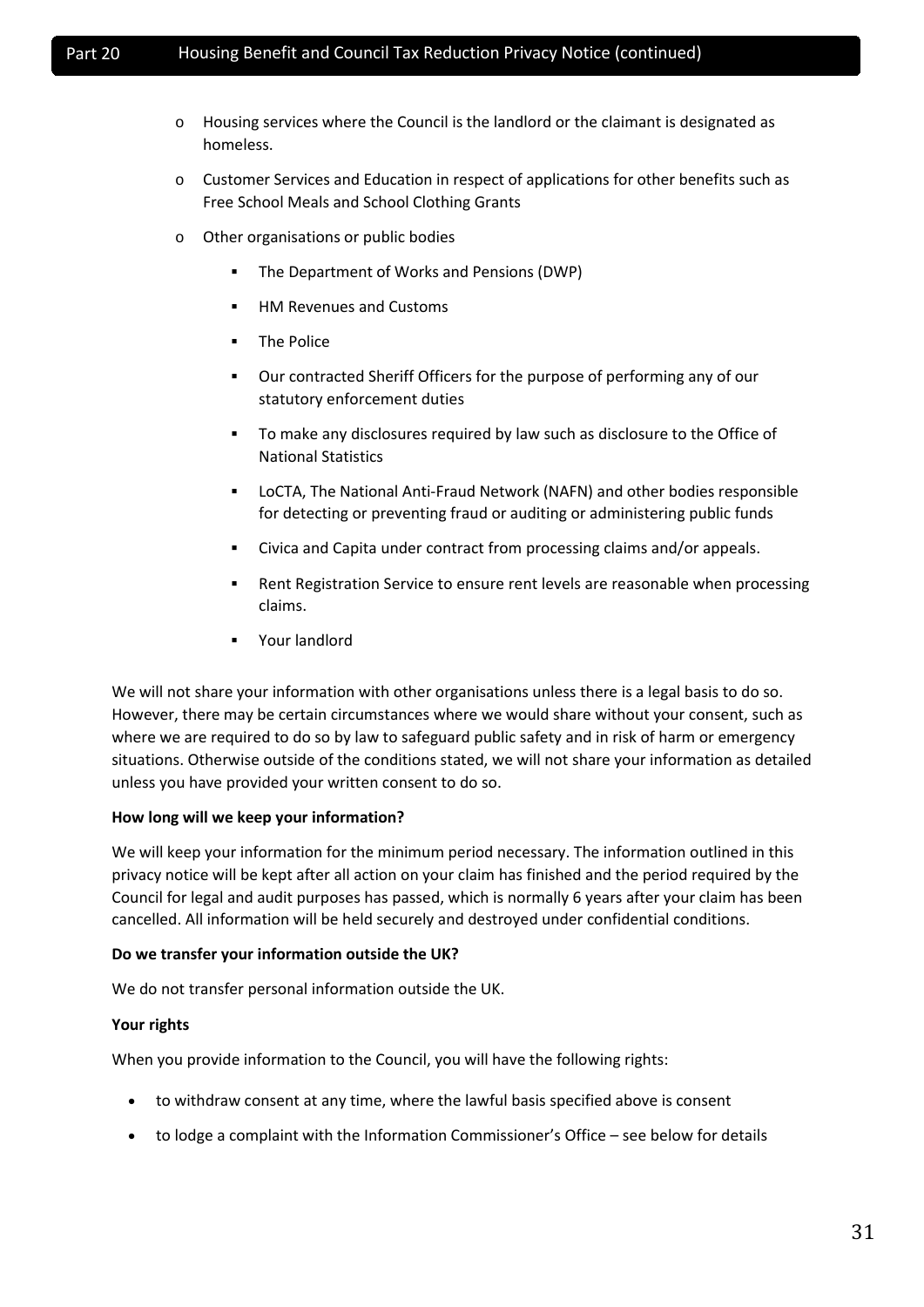- o Housing services where the Council is the landlord or the claimant is designated as homeless.
- o Customer Services and Education in respect of applications for other benefits such as Free School Meals and School Clothing Grants
- o Other organisations or public bodies
	- **The Department of Works and Pensions (DWP)**
	- **HM Revenues and Customs**
	- **The Police**
	- Our contracted Sheriff Officers for the purpose of performing any of our statutory enforcement duties
	- To make any disclosures required by law such as disclosure to the Office of National Statistics
	- LoCTA, The National Anti-Fraud Network (NAFN) and other bodies responsible for detecting or preventing fraud or auditing or administering public funds
	- Civica and Capita under contract from processing claims and/or appeals.
	- Rent Registration Service to ensure rent levels are reasonable when processing claims.
	- Your landlord

We will not share your information with other organisations unless there is a legal basis to do so. However, there may be certain circumstances where we would share without your consent, such as where we are required to do so by law to safeguard public safety and in risk of harm or emergency situations. Otherwise outside of the conditions stated, we will not share your information as detailed unless you have provided your written consent to do so.

## **How long will we keep your information?**

We will keep your information for the minimum period necessary. The information outlined in this privacy notice will be kept after all action on your claim has finished and the period required by the Council for legal and audit purposes has passed, which is normally 6 years after your claim has been cancelled. All information will be held securely and destroyed under confidential conditions.

## **Do we transfer your information outside the UK?**

We do not transfer personal information outside the UK.

## **Your rights**

When you provide information to the Council, you will have the following rights:

- to withdraw consent at any time, where the lawful basis specified above is consent
- to lodge a complaint with the Information Commissioner's Office see below for details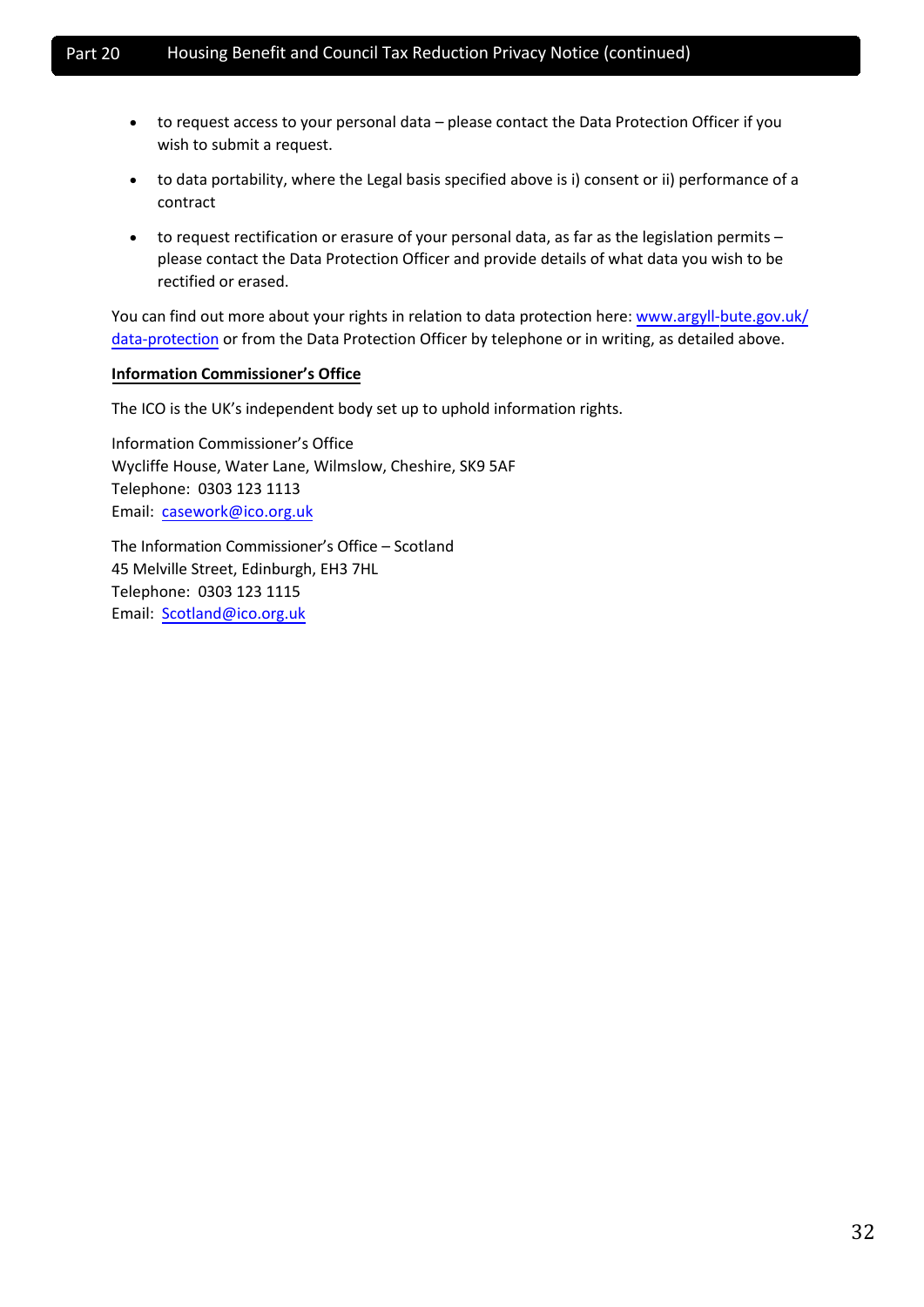- to request access to your personal data please contact the Data Protection Officer if you wish to submit a request.
- to data portability, where the Legal basis specified above is i) consent or ii) performance of a contract
- to request rectification or erasure of your personal data, as far as the legislation permits please contact the Data Protection Officer and provide details of what data you wish to be rectified or erased.

You can find out more about your rights in relation to data protection here: [www.argyll-bute.gov.uk/](http://www.argyll-bute.gov.uk/data-protection) [data-protection](http://www.argyll-bute.gov.uk/data-protection) or from the Data Protection Officer by telephone or in writing, as detailed above.

## **Information Commissioner's Office**

The ICO is the UK's independent body set up to uphold information rights.

Information Commissioner's Office Wycliffe House, Water Lane, Wilmslow, Cheshire, SK9 5AF Telephone: 0303 123 1113 Email: casework@ico.org.uk

The In[formation Commissione](mailto:casework@ico.org.uk)r's Office – Scotland 45 Melville Street, Edinburgh, EH3 7HL Telephone: 0303 123 1115 Email: Scotland@ico.org.uk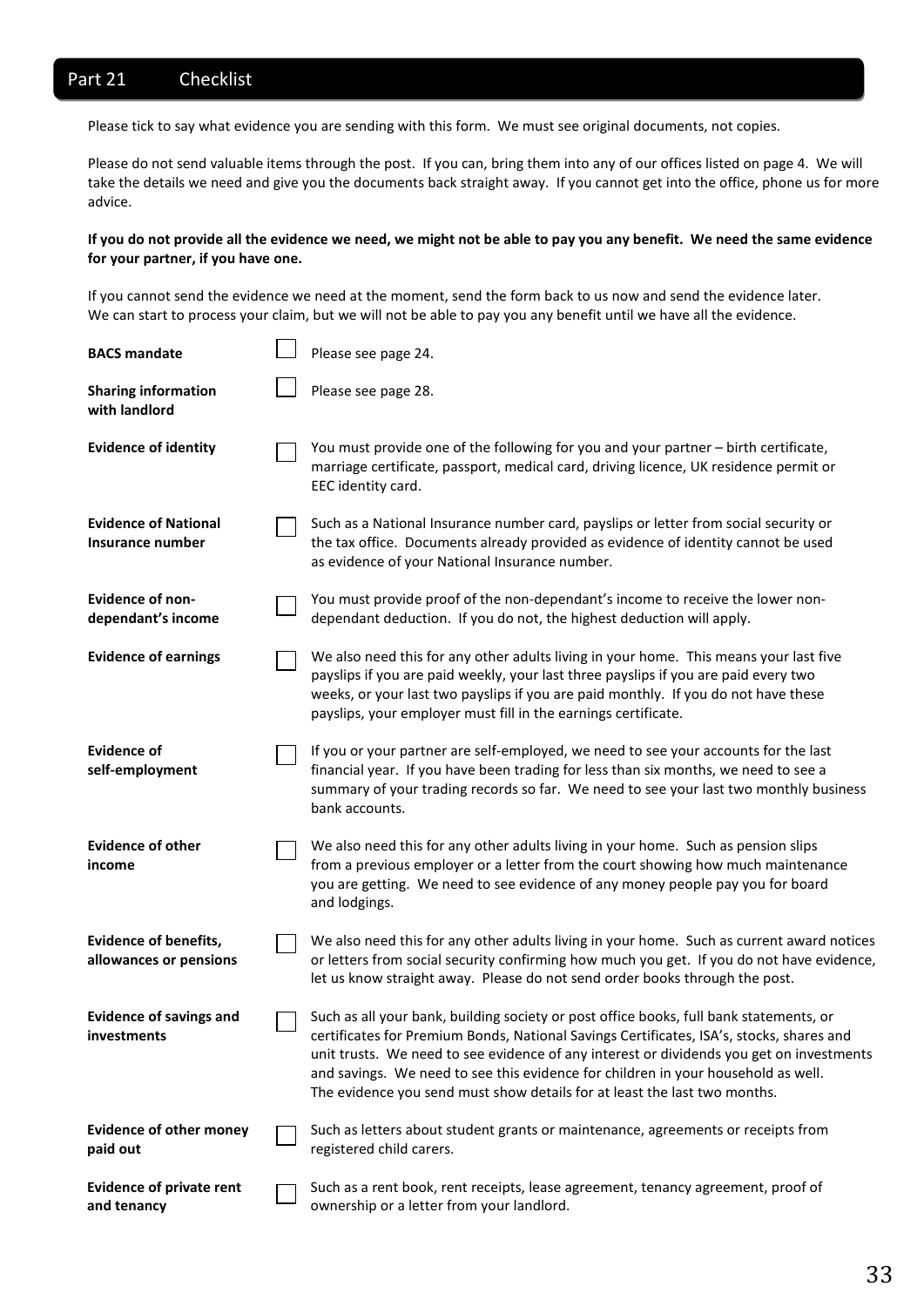## Part 21 Checklist

Please tick to say what evidence you are sending with this form. We must see original documents, not copies.

Please do not send valuable items through the post. If you can, bring them into any of our offices listed on page 4. We will take the details we need and give you the documents back straight away. If you cannot get into the office, phone us for more advice.

#### **If you do not provide all the evidence we need, we might not be able to pay you any benefit. We need the same evidence for your partner, if you have one.**

If you cannot send the evidence we need at the moment, send the form back to us now and send the evidence later. We can start to process your claim, but we will not be able to pay you any benefit until we have all the evidence.

| <b>BACS mandate</b>                                    | Please see page 24.                                                                                                                                                                                                                                                                                                                                                                                                                              |
|--------------------------------------------------------|--------------------------------------------------------------------------------------------------------------------------------------------------------------------------------------------------------------------------------------------------------------------------------------------------------------------------------------------------------------------------------------------------------------------------------------------------|
| <b>Sharing information</b><br>with landlord            | Please see page 28.                                                                                                                                                                                                                                                                                                                                                                                                                              |
| <b>Evidence of identity</b>                            | You must provide one of the following for you and your partner - birth certificate,<br>marriage certificate, passport, medical card, driving licence, UK residence permit or<br>EEC identity card.                                                                                                                                                                                                                                               |
| <b>Evidence of National</b><br>Insurance number        | Such as a National Insurance number card, payslips or letter from social security or<br>the tax office. Documents already provided as evidence of identity cannot be used<br>as evidence of your National Insurance number.                                                                                                                                                                                                                      |
| <b>Evidence of non-</b><br>dependant's income          | You must provide proof of the non-dependant's income to receive the lower non-<br>dependant deduction. If you do not, the highest deduction will apply.                                                                                                                                                                                                                                                                                          |
| <b>Evidence of earnings</b>                            | We also need this for any other adults living in your home. This means your last five<br>payslips if you are paid weekly, your last three payslips if you are paid every two<br>weeks, or your last two payslips if you are paid monthly. If you do not have these<br>payslips, your employer must fill in the earnings certificate.                                                                                                             |
| <b>Evidence of</b><br>self-employment                  | If you or your partner are self-employed, we need to see your accounts for the last<br>financial year. If you have been trading for less than six months, we need to see a<br>summary of your trading records so far. We need to see your last two monthly business<br>bank accounts.                                                                                                                                                            |
| <b>Evidence of other</b><br>income                     | We also need this for any other adults living in your home. Such as pension slips<br>from a previous employer or a letter from the court showing how much maintenance<br>you are getting. We need to see evidence of any money people pay you for board<br>and lodgings.                                                                                                                                                                         |
| <b>Evidence of benefits,</b><br>allowances or pensions | We also need this for any other adults living in your home. Such as current award notices<br>or letters from social security confirming how much you get. If you do not have evidence,<br>let us know straight away. Please do not send order books through the post.                                                                                                                                                                            |
| <b>Evidence of savings and</b><br><b>investments</b>   | Such as all your bank, building society or post office books, full bank statements, or<br>certificates for Premium Bonds, National Savings Certificates, ISA's, stocks, shares and<br>unit trusts. We need to see evidence of any interest or dividends you get on investments<br>and savings. We need to see this evidence for children in your household as well.<br>The evidence you send must show details for at least the last two months. |
| <b>Evidence of other money</b><br>paid out             | Such as letters about student grants or maintenance, agreements or receipts from<br>registered child carers.                                                                                                                                                                                                                                                                                                                                     |
| <b>Evidence of private rent</b><br>and tenancy         | Such as a rent book, rent receipts, lease agreement, tenancy agreement, proof of<br>ownership or a letter from your landlord.                                                                                                                                                                                                                                                                                                                    |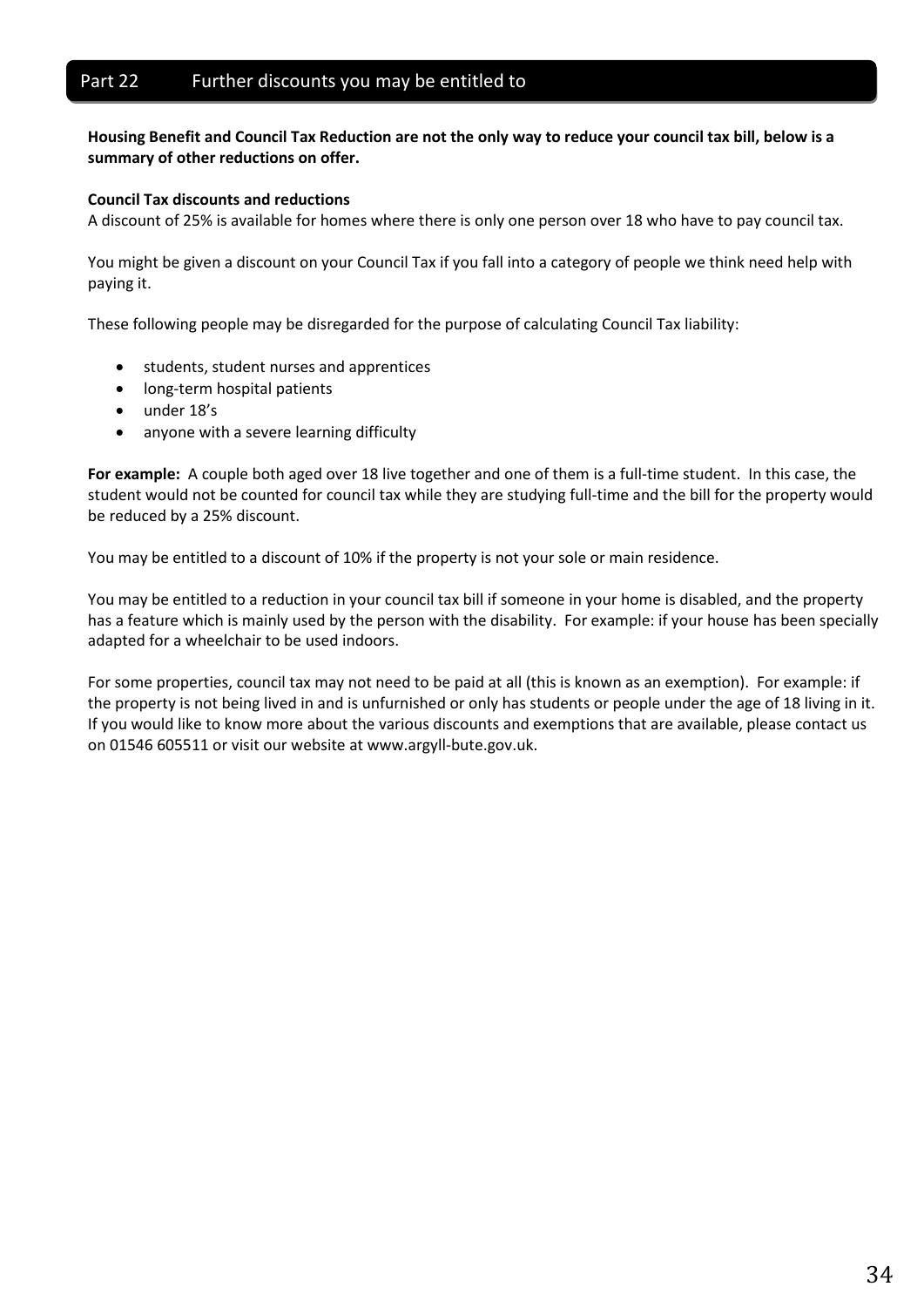## Part 22 Further discounts you may be entitled to

**Housing Benefit and Council Tax Reduction are not the only way to reduce your council tax bill, below is a summary of other reductions on offer.**

#### **Council Tax discounts and reductions**

A discount of 25% is available for homes where there is only one person over 18 who have to pay council tax.

You might be given a discount on your Council Tax if you fall into a category of people we think need help with paying it.

These following people may be disregarded for the purpose of calculating Council Tax liability:

- students, student nurses and apprentices
- long-term hospital patients
- under 18's
- anyone with a severe learning difficulty

**For example:** A couple both aged over 18 live together and one of them is a full-time student. In this case, the student would not be counted for council tax while they are studying full-time and the bill for the property would be reduced by a 25% discount.

You may be entitled to a discount of 10% if the property is not your sole or main residence.

You may be entitled to a reduction in your council tax bill if someone in your home is disabled, and the property has a feature which is mainly used by the person with the disability. For example: if your house has been specially adapted for a wheelchair to be used indoors.

For some properties, council tax may not need to be paid at all (this is known as an exemption). For example: if the property is not being lived in and is unfurnished or only has students or people under the age of 18 living in it. If you would like to know more about the various discounts and exemptions that are available, please contact us on 01546 605511 or visit our website at www.argyll-bute.gov.uk.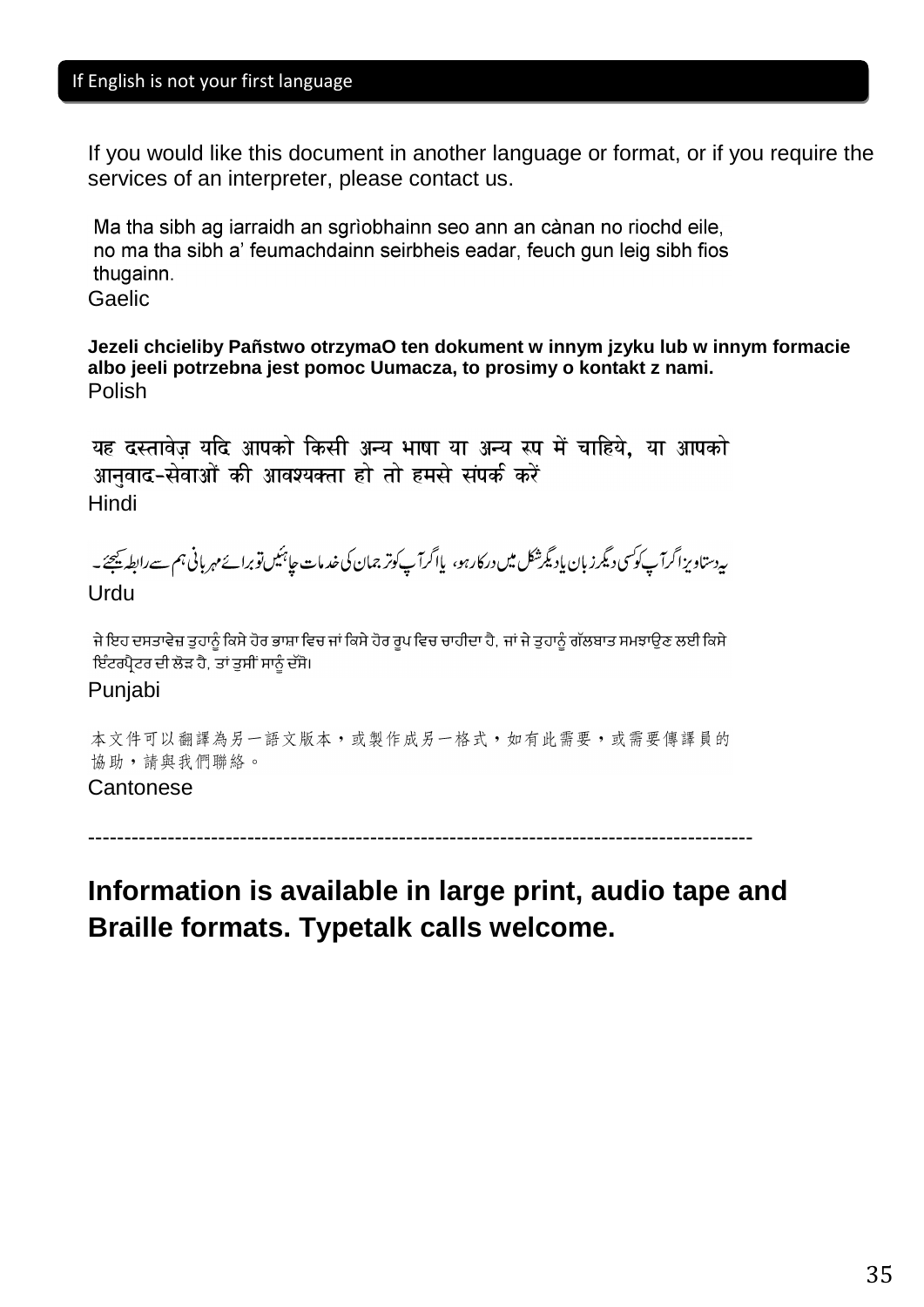If you would like this document in another language or format, or if you require the services of an interpreter, please contact us.

Ma tha sibh ag iarraidh an sgrìobhainn seo ann an cànan no riochd eile, no ma tha sibh a' feumachdainn seirbheis eadar, feuch gun leig sibh fios thugainn.

Gaelic

## **Jezeli chcieliby Pañstwo otrzymaO ten dokument w innym jzyku lub w innym formacie albo jeeIi potrzebna jest pomoc Uumacza, to prosimy o kontakt z nami.** Polish

यह दस्तावेज यदि आपको किसी अन्य भाषा या अन्य रूप में चाहिये, या आपको आनुवाद-सेवाओं की आवश्यक्ता हो तो हमसे संपर्क करें Hindi

ىيەدستاويزاگرآپ كوكسى دېگرز بان يادىگرشكل ميں دركارہو، پااگرآپ كوتر جمان كى خدمات جا<sup>ہيك</sup>يںتوبرائے مہربانى ہم سےرابطہ ي<del>ح</del>جئے \_

Urdu

ਜੇ ਇਹ ਦਸਤਾਵੇਜ਼ ਤਹਾਨੰ ਕਿਸੇ ਹੋਰ ਭਾਸ਼ਾ ਵਿਚ ਜਾਂ ਕਿਸੇ ਹੋਰ ਰਪ ਵਿਚ ਚਾਹੀਦਾ ਹੈ. ਜਾਂ ਜੇ ਤਹਾਨੰ ਗੱਲਬਾਤ ਸਮਝਾੳਣ ਲਈ ਕਿਸੇ ਇੰਟਰਪ੍ਰੈਟਰ ਦੀ ਲੋੜ ਹੈ, ਤਾਂ ਤੁਸੀਂ ਸਾਨੂੰ ਦੱਸੋ।

Punjabi

本文件可以翻譯為另一語文版本,或製作成另一格式,如有此需要,或需要傳譯員的 協助,請與我們聯絡。

## **Cantonese**

--------------------------------------------------------------------------------------------

# **Information is available in large print, audio tape and Braille formats. Typetalk calls welcome.**